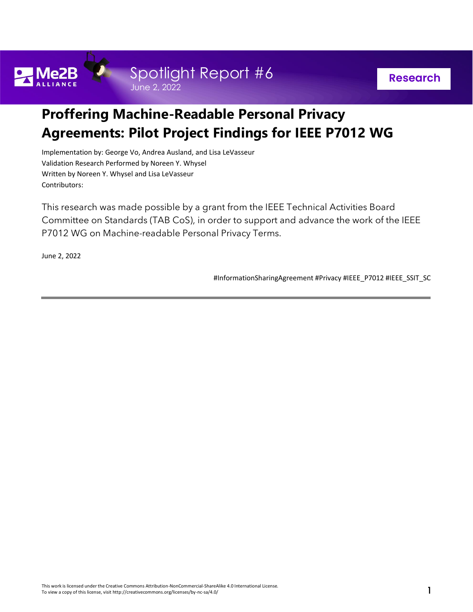# **Proffering Machine-Readable Personal Privacy Agreements: Pilot Project Findings for IEEE P7012 WG**

Implementation by: George Vo, Andrea Ausland, and Lisa LeVasseur Validation Research Performed by Noreen Y. Whysel Written by Noreen Y. Whysel and Lisa LeVasseur Contributors:

This research was made possible by a grant from the IEEE Technical Activities Board Committee on Standards (TAB CoS), in order to support and advance the work of the IEEE P7012 WG on Machine-readable Personal Privacy Terms.

June 2, 2022

#InformationSharingAgreement #Privacy #IEEE\_P7012 #IEEE\_SSIT\_SC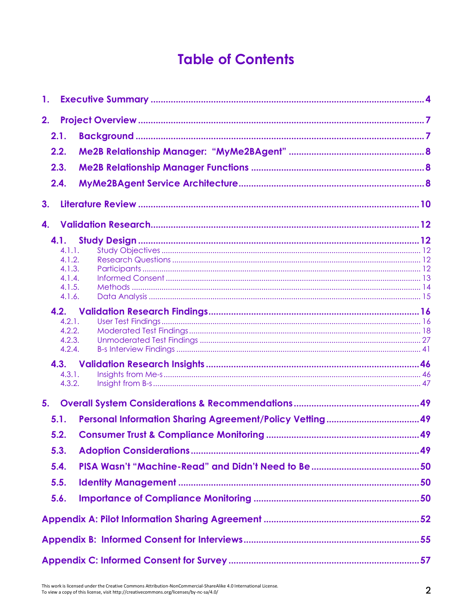# **Table of Contents**

| 1.             |                  |  |
|----------------|------------------|--|
| 2.             |                  |  |
|                | 2.1.             |  |
|                | 2.2.             |  |
|                | 2.3.             |  |
|                | 2.4.             |  |
|                |                  |  |
| 3 <sub>1</sub> |                  |  |
| 4.             |                  |  |
|                | 4.1.             |  |
|                | 4.1.1.           |  |
|                | 4.1.2.<br>4.1.3. |  |
|                | 4.1.4.           |  |
|                | 4.1.5.           |  |
|                | 4.1.6.           |  |
|                |                  |  |
|                | 4.2.1.           |  |
|                | 4.2.2.<br>4.2.3. |  |
|                | 4.2.4.           |  |
|                |                  |  |
|                | 4.3.1.           |  |
|                | 4.3.2.           |  |
| 5.             |                  |  |
|                | 5.1.             |  |
|                | 5.2.             |  |
|                | 5.3.             |  |
|                | 5.4.             |  |
|                | 5.5.             |  |
|                | 5.6.             |  |
|                |                  |  |
|                |                  |  |
|                |                  |  |
|                |                  |  |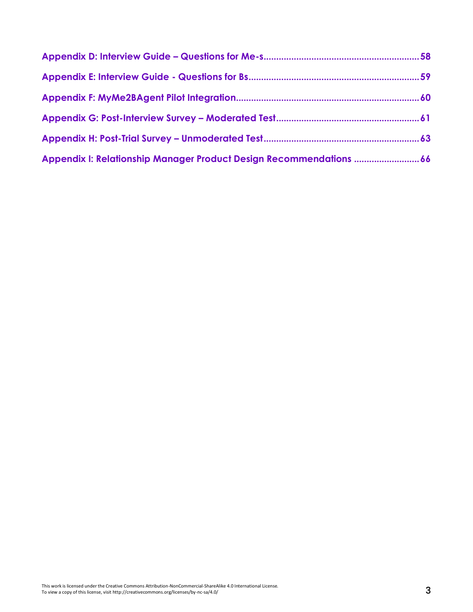| Appendix I: Relationship Manager Product Design Recommendations 66 |  |
|--------------------------------------------------------------------|--|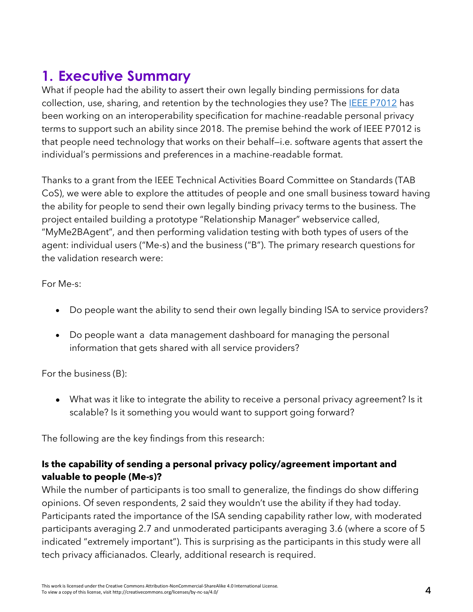# <span id="page-3-0"></span>**1. Executive Summary**

What if people had the ability to assert their own legally binding permissions for data collection, use, sharing, and retention by the technologies they use? The **IEEE P7012** has been working on an interoperability specification for machine-readable personal privacy terms to support such an ability since 2018. The premise behind the work of IEEE P7012 is that people need technology that works on their behalf—i.e. software agents that assert the individual's permissions and preferences in a machine-readable format.

Thanks to a grant from the IEEE Technical Activities Board Committee on Standards (TAB CoS), we were able to explore the attitudes of people and one small business toward having the ability for people to send their own legally binding privacy terms to the business. The project entailed building a prototype "Relationship Manager" webservice called, "MyMe2BAgent", and then performing validation testing with both types of users of the agent: individual users ("Me-s) and the business ("B"). The primary research questions for the validation research were:

### For Me-s:

- Do people want the ability to send their own legally binding ISA to service providers?
- Do people want a data management dashboard for managing the personal information that gets shared with all service providers?

### For the business (B):

• What was it like to integrate the ability to receive a personal privacy agreement? Is it scalable? Is it something you would want to support going forward?

The following are the key findings from this research:

## **Is the capability of sending a personal privacy policy/agreement important and valuable to people (Me-s)?**

While the number of participants is too small to generalize, the findings do show differing opinions. Of seven respondents, 2 said they wouldn't use the ability if they had today. Participants rated the importance of the ISA sending capability rather low, with moderated participants averaging 2.7 and unmoderated participants averaging 3.6 (where a score of 5 indicated "extremely important"). This is surprising as the participants in this study were all tech privacy afficianados. Clearly, additional research is required.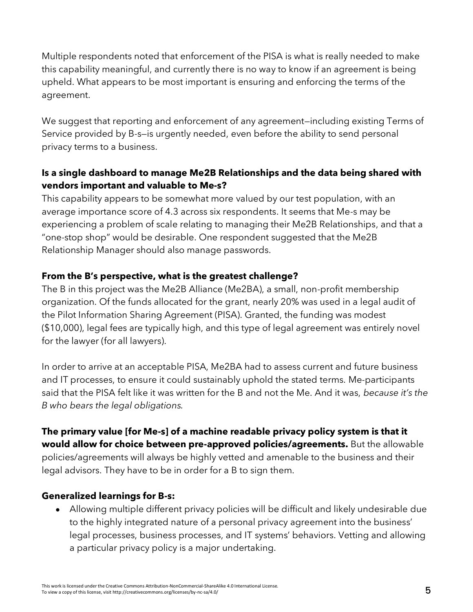Multiple respondents noted that enforcement of the PISA is what is really needed to make this capability meaningful, and currently there is no way to know if an agreement is being upheld. What appears to be most important is ensuring and enforcing the terms of the agreement.

We suggest that reporting and enforcement of any agreement—including existing Terms of Service provided by B-s—is urgently needed, even before the ability to send personal privacy terms to a business.

## **Is a single dashboard to manage Me2B Relationships and the data being shared with vendors important and valuable to Me-s?**

This capability appears to be somewhat more valued by our test population, with an average importance score of 4.3 across six respondents. It seems that Me-s may be experiencing a problem of scale relating to managing their Me2B Relationships, and that a "one-stop shop" would be desirable. One respondent suggested that the Me2B Relationship Manager should also manage passwords.

### **From the B's perspective, what is the greatest challenge?**

The B in this project was the Me2B Alliance (Me2BA), a small, non-profit membership organization. Of the funds allocated for the grant, nearly 20% was used in a legal audit of the Pilot Information Sharing Agreement (PISA). Granted, the funding was modest (\$10,000), legal fees are typically high, and this type of legal agreement was entirely novel for the lawyer (for all lawyers).

In order to arrive at an acceptable PISA, Me2BA had to assess current and future business and IT processes, to ensure it could sustainably uphold the stated terms. Me-participants said that the PISA felt like it was written for the B and not the Me. And it was, *because it's the B who bears the legal obligations.* 

**The primary value [for Me-s] of a machine readable privacy policy system is that it would allow for choice between pre-approved policies/agreements.** But the allowable policies/agreements will always be highly vetted and amenable to the business and their legal advisors. They have to be in order for a B to sign them.

## **Generalized learnings for B-s:**

• Allowing multiple different privacy policies will be difficult and likely undesirable due to the highly integrated nature of a personal privacy agreement into the business' legal processes, business processes, and IT systems' behaviors. Vetting and allowing a particular privacy policy is a major undertaking.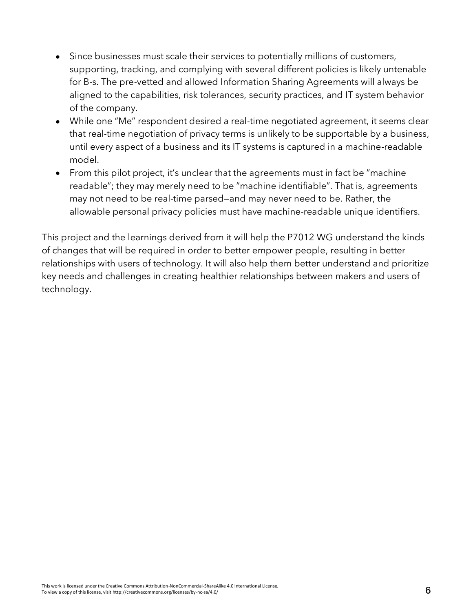- Since businesses must scale their services to potentially millions of customers, supporting, tracking, and complying with several different policies is likely untenable for B-s. The pre-vetted and allowed Information Sharing Agreements will always be aligned to the capabilities, risk tolerances, security practices, and IT system behavior of the company.
- While one "Me" respondent desired a real-time negotiated agreement, it seems clear that real-time negotiation of privacy terms is unlikely to be supportable by a business, until every aspect of a business and its IT systems is captured in a machine-readable model.
- From this pilot project, it's unclear that the agreements must in fact be "machine readable"; they may merely need to be "machine identifiable". That is, agreements may not need to be real-time parsed—and may never need to be. Rather, the allowable personal privacy policies must have machine-readable unique identifiers.

This project and the learnings derived from it will help the P7012 WG understand the kinds of changes that will be required in order to better empower people, resulting in better relationships with users of technology. It will also help them better understand and prioritize key needs and challenges in creating healthier relationships between makers and users of technology.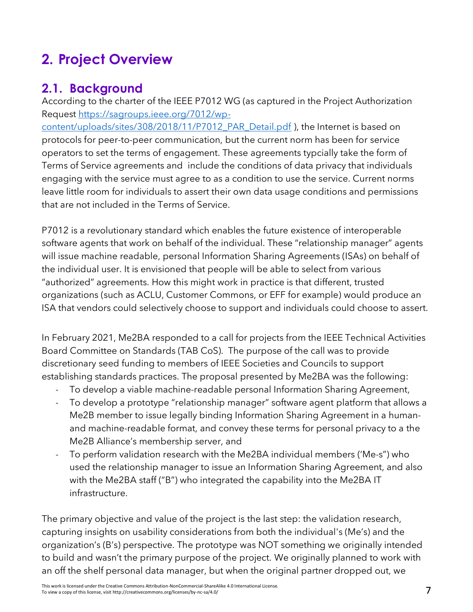# <span id="page-6-0"></span>**2. Project Overview**

## <span id="page-6-1"></span>**2.1. Background**

According to the charter of the IEEE P7012 WG (as captured in the Project Authorization Request [https://sagroups.ieee.org/7012/wp-](https://sagroups.ieee.org/7012/wp-content/uploads/sites/308/2018/11/P7012_PAR_Detail.pdf)

[content/uploads/sites/308/2018/11/P7012\\_PAR\\_Detail.pdf](https://sagroups.ieee.org/7012/wp-content/uploads/sites/308/2018/11/P7012_PAR_Detail.pdf) ), the Internet is based on protocols for peer-to-peer communication, but the current norm has been for service operators to set the terms of engagement. These agreements typcially take the form of Terms of Service agreements and include the conditions of data privacy that individuals engaging with the service must agree to as a condition to use the service. Current norms leave little room for individuals to assert their own data usage conditions and permissions that are not included in the Terms of Service.

P7012 is a revolutionary standard which enables the future existence of interoperable software agents that work on behalf of the individual. These "relationship manager" agents will issue machine readable, personal Information Sharing Agreements (ISAs) on behalf of the individual user. It is envisioned that people will be able to select from various "authorized" agreements. How this might work in practice is that different, trusted organizations (such as ACLU, Customer Commons, or EFF for example) would produce an ISA that vendors could selectively choose to support and individuals could choose to assert.

In February 2021, Me2BA responded to a call for projects from the IEEE Technical Activities Board Committee on Standards (TAB CoS). The purpose of the call was to provide discretionary seed funding to members of IEEE Societies and Councils to support establishing standards practices. The proposal presented by Me2BA was the following:

- To develop a viable machine-readable personal Information Sharing Agreement,
- To develop a prototype "relationship manager" software agent platform that allows a Me2B member to issue legally binding Information Sharing Agreement in a humanand machine-readable format, and convey these terms for personal privacy to a the Me2B Alliance's membership server, and
- To perform validation research with the Me2BA individual members ('Me-s") who used the relationship manager to issue an Information Sharing Agreement, and also with the Me2BA staff ("B") who integrated the capability into the Me2BA IT infrastructure.

The primary objective and value of the project is the last step: the validation research, capturing insights on usability considerations from both the individual's (Me's) and the organization's (B's) perspective. The prototype was NOT something we originally intended to build and wasn't the primary purpose of the project. We originally planned to work with an off the shelf personal data manager, but when the original partner dropped out, we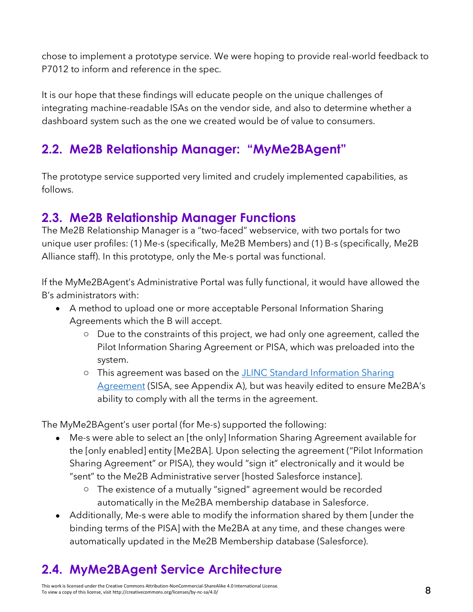chose to implement a prototype service. We were hoping to provide real-world feedback to P7012 to inform and reference in the spec.

It is our hope that these findings will educate people on the unique challenges of integrating machine-readable ISAs on the vendor side, and also to determine whether a dashboard system such as the one we created would be of value to consumers.

## <span id="page-7-0"></span>**2.2. Me2B Relationship Manager: "MyMe2BAgent"**

The prototype service supported very limited and crudely implemented capabilities, as follows.

## <span id="page-7-1"></span>**2.3. Me2B Relationship Manager Functions**

The Me2B Relationship Manager is a "two-faced" webservice, with two portals for two unique user profiles: (1) Me-s (specifically, Me2B Members) and (1) B-s (specifically, Me2B Alliance staff). In this prototype, only the Me-s portal was functional.

If the MyMe2BAgent's Administrative Portal was fully functional, it would have allowed the B's administrators with:

- A method to upload one or more acceptable Personal Information Sharing Agreements which the B will accept.
	- o Due to the constraints of this project, we had only one agreement, called the Pilot Information Sharing Agreement or PISA, which was preloaded into the system.
	- o This agreement was based on the JLINC Standard Information Sharing [Agreement](https://sisa.jlinc.org/html/v1/) (SISA, see Appendix A), but was heavily edited to ensure Me2BA's ability to comply with all the terms in the agreement.

The MyMe2BAgent's user portal (for Me-s) supported the following:

- Me-s were able to select an [the only] Information Sharing Agreement available for the [only enabled] entity [Me2BA]. Upon selecting the agreement ("Pilot Information Sharing Agreement" or PISA), they would "sign it" electronically and it would be "sent" to the Me2B Administrative server [hosted Salesforce instance].
	- o The existence of a mutually "signed" agreement would be recorded automatically in the Me2BA membership database in Salesforce.
- Additionally, Me-s were able to modify the information shared by them [under the binding terms of the PISA] with the Me2BA at any time, and these changes were automatically updated in the Me2B Membership database (Salesforce).

# <span id="page-7-2"></span>**2.4. MyMe2BAgent Service Architecture**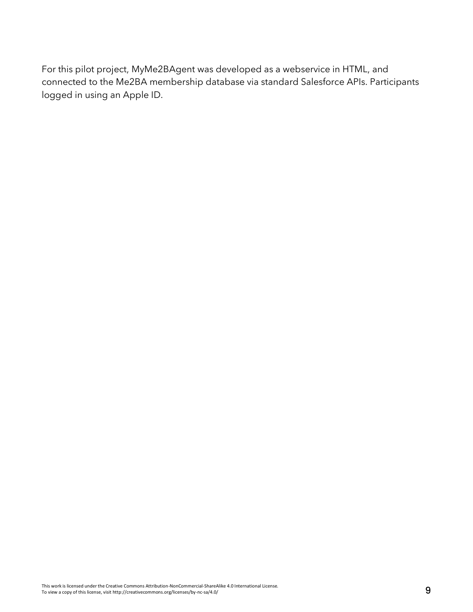For this pilot project, MyMe2BAgent was developed as a webservice in HTML, and connected to the Me2BA membership database via standard Salesforce APIs. Participants logged in using an Apple ID.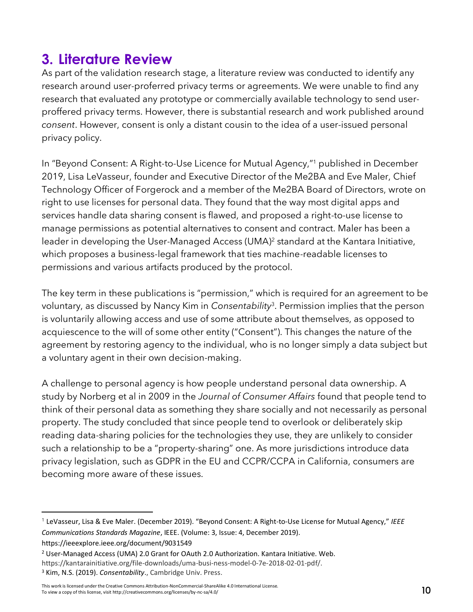# <span id="page-9-0"></span>**3. Literature Review**

As part of the validation research stage, a literature review was conducted to identify any research around user-proferred privacy terms or agreements. We were unable to find any research that evaluated any prototype or commercially available technology to send userproffered privacy terms. However, there is substantial research and work published around *consent*. However, consent is only a distant cousin to the idea of a user-issued personal privacy policy.

In "Beyond Consent: A Right-to-Use Licence for Mutual Agency,"<sup>1</sup> published in December 2019, Lisa LeVasseur, founder and Executive Director of the Me2BA and Eve Maler, Chief Technology Officer of Forgerock and a member of the Me2BA Board of Directors, wrote on right to use licenses for personal data. They found that the way most digital apps and services handle data sharing consent is flawed, and proposed a right-to-use license to manage permissions as potential alternatives to consent and contract. Maler has been a leader in developing the User-Managed Access (UMA)<sup>2</sup> standard at the Kantara Initiative, which proposes a business-legal framework that ties machine-readable licenses to permissions and various artifacts produced by the protocol.

The key term in these publications is "permission," which is required for an agreement to be voluntary, as discussed by Nancy Kim in *Consentability*<sup>3</sup> . Permission implies that the person is voluntarily allowing access and use of some attribute about themselves, as opposed to acquiescence to the will of some other entity ("Consent"). This changes the nature of the agreement by restoring agency to the individual, who is no longer simply a data subject but a voluntary agent in their own decision-making.

A challenge to personal agency is how people understand personal data ownership. A study by Norberg et al in 2009 in the *Journal of Consumer Affairs* found that people tend to think of their personal data as something they share socially and not necessarily as personal property. The study concluded that since people tend to overlook or deliberately skip reading data-sharing policies for the technologies they use, they are unlikely to consider such a relationship to be a "property-sharing" one. As more jurisdictions introduce data privacy legislation, such as GDPR in the EU and CCPR/CCPA in California, consumers are becoming more aware of these issues.

https://ieeexplore.ieee.org/document/9031549

<sup>1</sup> LeVasseur, Lisa & Eve Maler. (December 2019). "Beyond Consent: A Right-to-Use License for Mutual Agency," *IEEE Communications Standards Magazine*, IEEE. (Volume: 3, Issue: 4, December 2019).

<sup>2</sup> User-Managed Access (UMA) 2.0 Grant for OAuth 2.0 Authorization. Kantara Initiative. Web.

https://kantarainitiative.org/file-downloads/uma-busi-ness-model-0-7e-2018-02-01-pdf/.

<sup>3</sup> Kim, N.S. (2019). *Consentability*., Cambridge Univ. Press.

This work is licensed under the Creative Commons Attribution-NonCommercial-ShareAlike 4.0 International License. This work is licensed under the creative commons Attribution-Noncommercial-ShareAlike 4.0 international License.<br>To view a copy of this license, visit http://creativecommons.org/licenses/by-nc-sa/4.0/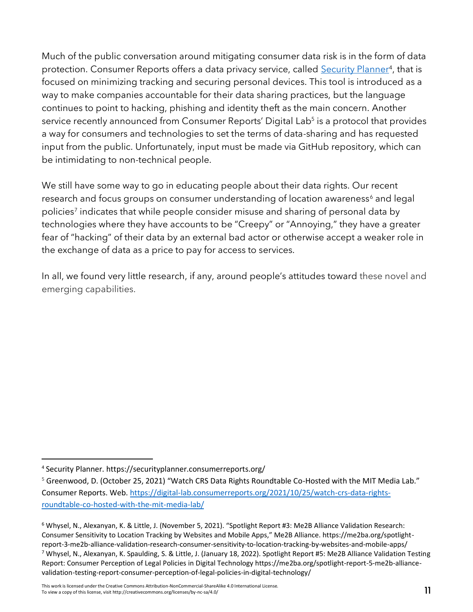Much of the public conversation around mitigating consumer data risk is in the form of data protection. Consumer Reports offers a data privacy service, called <u>Security Planner</u><sup>4</sup>, that is focused on minimizing tracking and securing personal devices. This tool is introduced as a way to make companies accountable for their data sharing practices, but the language continues to point to hacking, phishing and identity theft as the main concern. Another service recently announced from Consumer Reports' Digital Lab<sup>5</sup> is a protocol that provides a way for consumers and technologies to set the terms of data-sharing and has requested input from the public. Unfortunately, input must be made via GitHub repository, which can be intimidating to non-technical people.

We still have some way to go in educating people about their data rights. Our recent research and focus groups on consumer understanding of location awareness<sup>6</sup> and legal policies<sup>7</sup> indicates that while people consider misuse and sharing of personal data by technologies where they have accounts to be "Creepy" or "Annoying," they have a greater fear of "hacking" of their data by an external bad actor or otherwise accept a weaker role in the exchange of data as a price to pay for access to services.

In all, we found very little research, if any, around people's attitudes toward these novel and emerging capabilities.

<sup>4</sup> Security Planner. https://securityplanner.consumerreports.org/

<sup>5</sup> Greenwood, D. (October 25, 2021) "Watch CRS Data Rights Roundtable Co-Hosted with the MIT Media Lab." Consumer Reports. Web. [https://digital-lab.consumerreports.org/2021/10/25/watch-crs-data-rights](https://digital-lab.consumerreports.org/2021/10/25/watch-crs-data-rights-roundtable-co-hosted-with-the-mit-media-lab/)[roundtable-co-hosted-with-the-mit-media-lab/](https://digital-lab.consumerreports.org/2021/10/25/watch-crs-data-rights-roundtable-co-hosted-with-the-mit-media-lab/)

<sup>6</sup> Whysel, N., Alexanyan, K. & Little, J. (November 5, 2021). "Spotlight Report #3: Me2B Alliance Validation Research: Consumer Sensitivity to Location Tracking by Websites and Mobile Apps," Me2B Alliance. https://me2ba.org/spotlightreport-3-me2b-alliance-validation-research-consumer-sensitivity-to-location-tracking-by-websites-and-mobile-apps/ <sup>7</sup> Whysel, N., Alexanyan, K. Spaulding, S. & Little, J. (January 18, 2022). Spotlight Report #5: Me2B Alliance Validation Testing Report: Consumer Perception of Legal Policies in Digital Technology https://me2ba.org/spotlight-report-5-me2b-alliancevalidation-testing-report-consumer-perception-of-legal-policies-in-digital-technology/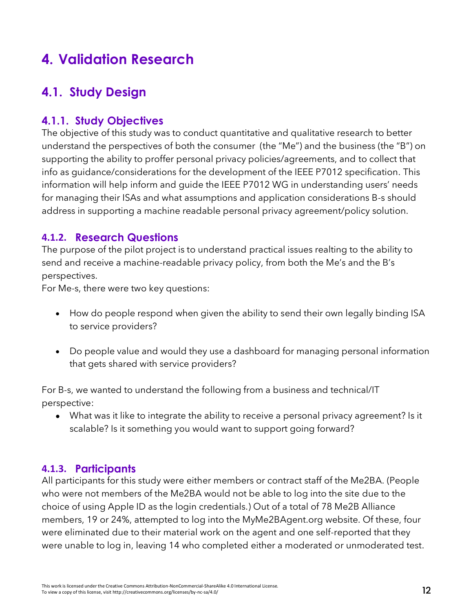# <span id="page-11-0"></span>**4. Validation Research**

## <span id="page-11-1"></span>**4.1. Study Design**

## <span id="page-11-2"></span>**4.1.1. Study Objectives**

The objective of this study was to conduct quantitative and qualitative research to better understand the perspectives of both the consumer (the "Me") and the business (the "B") on supporting the ability to proffer personal privacy policies/agreements, and to collect that info as guidance/considerations for the development of the IEEE P7012 specification. This information will help inform and guide the IEEE P7012 WG in understanding users' needs for managing their ISAs and what assumptions and application considerations B-s should address in supporting a machine readable personal privacy agreement/policy solution.

## <span id="page-11-3"></span>**4.1.2. Research Questions**

The purpose of the pilot project is to understand practical issues realting to the ability to send and receive a machine-readable privacy policy, from both the Me's and the B's perspectives.

For Me-s, there were two key questions:

- How do people respond when given the ability to send their own legally binding ISA to service providers?
- Do people value and would they use a dashboard for managing personal information that gets shared with service providers?

For B-s, we wanted to understand the following from a business and technical/IT perspective:

• What was it like to integrate the ability to receive a personal privacy agreement? Is it scalable? Is it something you would want to support going forward?

## <span id="page-11-4"></span>**4.1.3. Participants**

All participants for this study were either members or contract staff of the Me2BA. (People who were not members of the Me2BA would not be able to log into the site due to the choice of using Apple ID as the login credentials.) Out of a total of 78 Me2B Alliance members, 19 or 24%, attempted to log into the MyMe2BAgent.org website. Of these, four were eliminated due to their material work on the agent and one self-reported that they were unable to log in, leaving 14 who completed either a moderated or unmoderated test.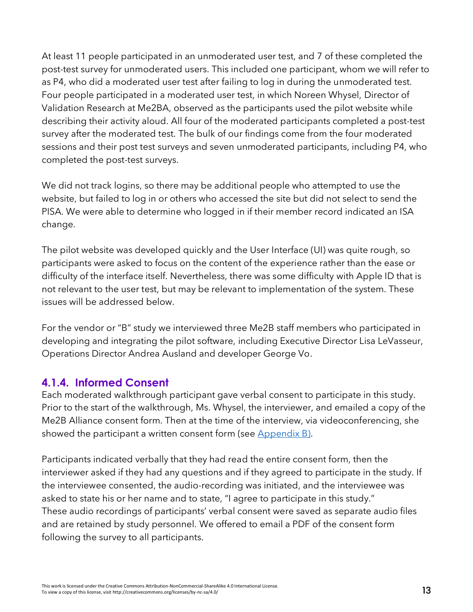At least 11 people participated in an unmoderated user test, and 7 of these completed the post-test survey for unmoderated users. This included one participant, whom we will refer to as P4, who did a moderated user test after failing to log in during the unmoderated test. Four people participated in a moderated user test, in which Noreen Whysel, Director of Validation Research at Me2BA, observed as the participants used the pilot website while describing their activity aloud. All four of the moderated participants completed a post-test survey after the moderated test. The bulk of our findings come from the four moderated sessions and their post test surveys and seven unmoderated participants, including P4, who completed the post-test surveys.

We did not track logins, so there may be additional people who attempted to use the website, but failed to log in or others who accessed the site but did not select to send the PISA. We were able to determine who logged in if their member record indicated an ISA change.

The pilot website was developed quickly and the User Interface (UI) was quite rough, so participants were asked to focus on the content of the experience rather than the ease or difficulty of the interface itself. Nevertheless, there was some difficulty with Apple ID that is not relevant to the user test, but may be relevant to implementation of the system. These issues will be addressed below.

For the vendor or "B" study we interviewed three Me2B staff members who participated in developing and integrating the pilot software, including Executive Director Lisa LeVasseur, Operations Director Andrea Ausland and developer George Vo.

## <span id="page-12-0"></span>**4.1.4. Informed Consent**

Each moderated walkthrough participant gave verbal consent to participate in this study. Prior to the start of the walkthrough, Ms. Whysel, the interviewer, and emailed a copy of the Me2B Alliance consent form. Then at the time of the interview, via videoconferencing, she showed the participant a written consent form (see  $\Delta$ ppendix B).

Participants indicated verbally that they had read the entire consent form, then the interviewer asked if they had any questions and if they agreed to participate in the study. If the interviewee consented, the audio-recording was initiated, and the interviewee was asked to state his or her name and to state, "I agree to participate in this study." These audio recordings of participants' verbal consent were saved as separate audio files and are retained by study personnel. We offered to email a PDF of the consent form following the survey to all participants.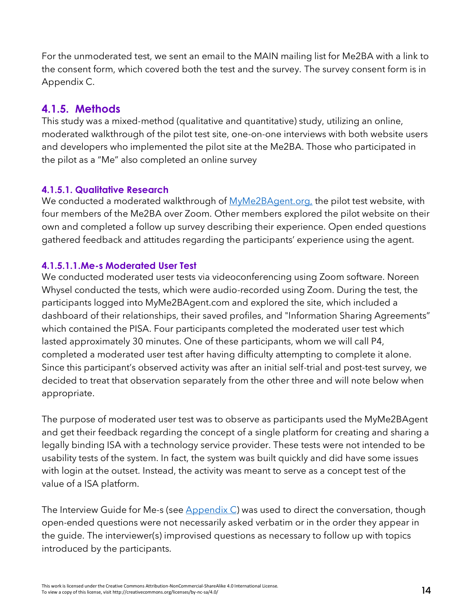For the unmoderated test, we sent an email to the MAIN mailing list for Me2BA with a link to the consent form, which covered both the test and the survey. The survey consent form is in Appendix C.

## <span id="page-13-0"></span>**4.1.5. Methods**

This study was a mixed-method (qualitative and quantitative) study, utilizing an online, moderated walkthrough of the pilot test site, one-on-one interviews with both website users and developers who implemented the pilot site at the Me2BA. Those who participated in the pilot as a "Me" also completed an online survey

### **4.1.5.1. Qualitative Research**

We conducted a moderated walkthrough of [MyMe2BAgent.org,](http://myme2bagent.org/) the pilot test website, with four members of the Me2BA over Zoom. Other members explored the pilot website on their own and completed a follow up survey describing their experience. Open ended questions gathered feedback and attitudes regarding the participants' experience using the agent.

#### **4.1.5.1.1.Me-s Moderated User Test**

We conducted moderated user tests via videoconferencing using Zoom software. Noreen Whysel conducted the tests, which were audio-recorded using Zoom. During the test, the participants logged into MyMe2BAgent.com and explored the site, which included a dashboard of their relationships, their saved profiles, and "Information Sharing Agreements" which contained the PISA. Four participants completed the moderated user test which lasted approximately 30 minutes. One of these participants, whom we will call P4, completed a moderated user test after having difficulty attempting to complete it alone. Since this participant's observed activity was after an initial self-trial and post-test survey, we decided to treat that observation separately from the other three and will note below when appropriate.

The purpose of moderated user test was to observe as participants used the MyMe2BAgent and get their feedback regarding the concept of a single platform for creating and sharing a legally binding ISA with a technology service provider. These tests were not intended to be usability tests of the system. In fact, the system was built quickly and did have some issues with login at the outset. Instead, the activity was meant to serve as a concept test of the value of a ISA platform.

The Interview Guide for Me-s (see  $\Delta$ ppendix  $C$ ) was used to direct the conversation, though open-ended questions were not necessarily asked verbatim or in the order they appear in the guide. The interviewer(s) improvised questions as necessary to follow up with topics introduced by the participants.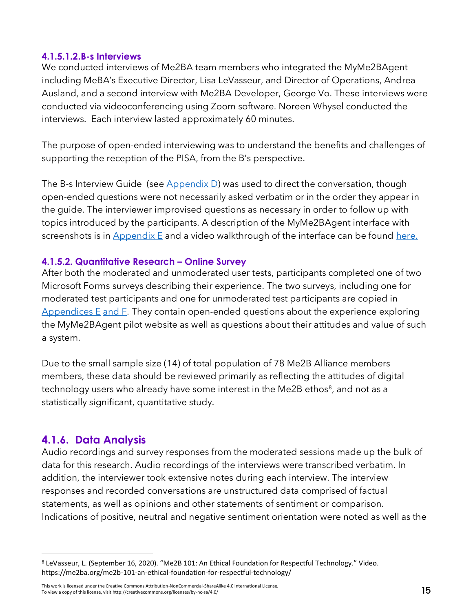#### **4.1.5.1.2.B-s Interviews**

We conducted interviews of Me2BA team members who integrated the MyMe2BAgent including MeBA's Executive Director, Lisa LeVasseur, and Director of Operations, Andrea Ausland, and a second interview with Me2BA Developer, George Vo. These interviews were conducted via videoconferencing using Zoom software. Noreen Whysel conducted the interviews. Each interview lasted approximately 60 minutes.

The purpose of open-ended interviewing was to understand the benefits and challenges of supporting the reception of the PISA, from the B's perspective.

The B-s Interview Guide (see  $\Delta$ ppendix D) was used to direct the conversation, though open-ended questions were not necessarily asked verbatim or in the order they appear in the guide. The interviewer improvised questions as necessary in order to follow up with topics introduced by the participants. A description of the MyMe2BAgent interface with screenshots is in  $\Delta$ ppendix E and a video walkthrough of the interface can be found [here.](https://vimeo.com/714974848/132cd8bd8a)

#### **4.1.5.2. Quantitative Research – Online Survey**

After both the moderated and unmoderated user tests, participants completed one of two Microsoft Forms surveys describing their experience. The two surveys, including one for moderated test participants and one for unmoderated test participants are copied in [Appendices](#page-58-0) E [and F.](#page-59-0) They contain open-ended questions about the experience exploring the MyMe2BAgent pilot website as well as questions about their attitudes and value of such a system.

Due to the small sample size (14) of total population of 78 Me2B Alliance members members, these data should be reviewed primarily as reflecting the attitudes of digital technology users who already have some interest in the Me2B ethos<sup>8</sup>, and not as a statistically significant, quantitative study.

## <span id="page-14-0"></span>**4.1.6. Data Analysis**

Audio recordings and survey responses from the moderated sessions made up the bulk of data for this research. Audio recordings of the interviews were transcribed verbatim. In addition, the interviewer took extensive notes during each interview. The interview responses and recorded conversations are unstructured data comprised of factual statements, as well as opinions and other statements of sentiment or comparison. Indications of positive, neutral and negative sentiment orientation were noted as well as the

This work is licensed under the Creative Commons Attribution-NonCommercial-ShareAlike 4.0 International License. This work is licensed under the creative commons Attribution-Noncommercial-ShareAlike 4.0 international License.<br>To view a copy of this license, visit http://creativecommons.org/licenses/by-nc-sa/4.0/

<sup>8</sup> LeVasseur, L. (September 16, 2020). "Me2B 101: An Ethical Foundation for Respectful Technology." Video. https://me2ba.org/me2b-101-an-ethical-foundation-for-respectful-technology/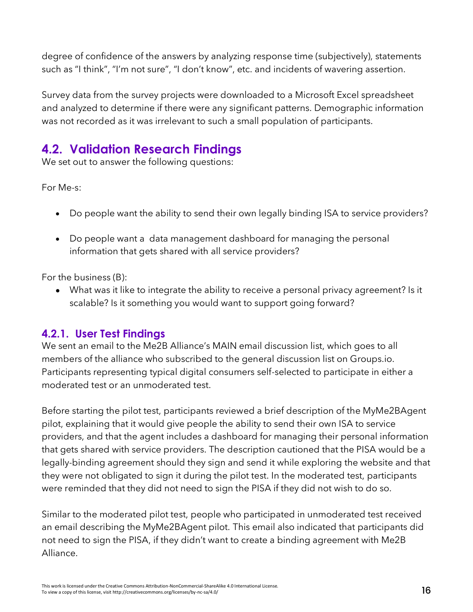degree of confidence of the answers by analyzing response time (subjectively), statements such as "I think", "I'm not sure", "I don't know", etc. and incidents of wavering assertion.

Survey data from the survey projects were downloaded to a Microsoft Excel spreadsheet and analyzed to determine if there were any significant patterns. Demographic information was not recorded as it was irrelevant to such a small population of participants.

## <span id="page-15-0"></span>**4.2. Validation Research Findings**

We set out to answer the following questions:

For Me-s:

- Do people want the ability to send their own legally binding ISA to service providers?
- Do people want a data management dashboard for managing the personal information that gets shared with all service providers?

For the business (B):

• What was it like to integrate the ability to receive a personal privacy agreement? Is it scalable? Is it something you would want to support going forward?

## <span id="page-15-1"></span>**4.2.1. User Test Findings**

We sent an email to the Me2B Alliance's MAIN email discussion list, which goes to all members of the alliance who subscribed to the general discussion list on Groups.io. Participants representing typical digital consumers self-selected to participate in either a moderated test or an unmoderated test.

Before starting the pilot test, participants reviewed a brief description of the MyMe2BAgent pilot, explaining that it would give people the ability to send their own ISA to service providers, and that the agent includes a dashboard for managing their personal information that gets shared with service providers. The description cautioned that the PISA would be a legally-binding agreement should they sign and send it while exploring the website and that they were not obligated to sign it during the pilot test. In the moderated test, participants were reminded that they did not need to sign the PISA if they did not wish to do so.

Similar to the moderated pilot test, people who participated in unmoderated test received an email describing the MyMe2BAgent pilot. This email also indicated that participants did not need to sign the PISA, if they didn't want to create a binding agreement with Me2B Alliance.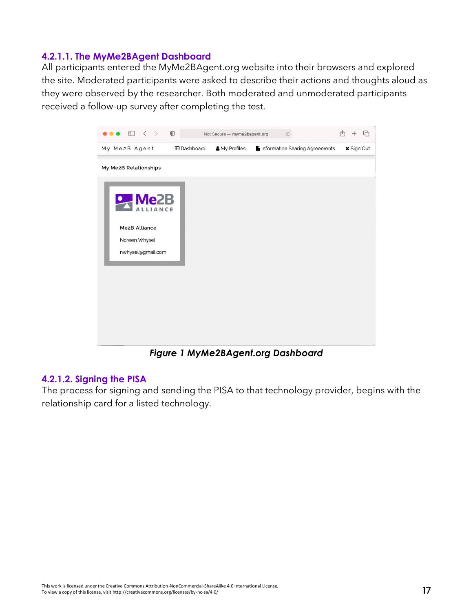#### **4.2.1.1. The MyMe2BAgent Dashboard**

All participants entered the MyMe2BAgent.org website into their browsers and explored the site. Moderated participants were asked to describe their actions and thoughts aloud as they were observed by the researcher. Both moderated and unmoderated participants received a follow-up survey after completing the test.



*Figure 1 MyMe2BAgent.org Dashboard*

#### **4.2.1.2. Signing the PISA**

The process for signing and sending the PISA to that technology provider, begins with the relationship card for a listed technology.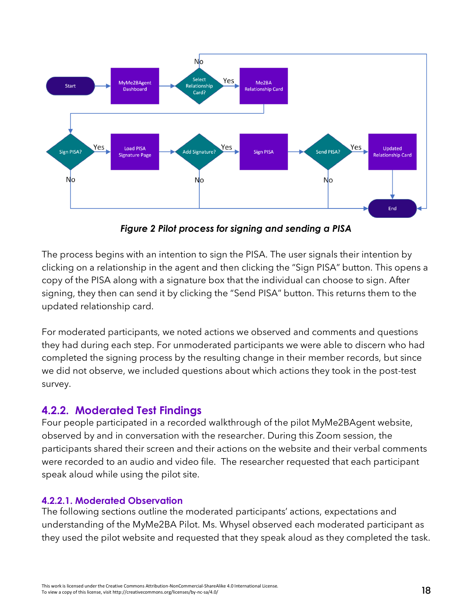

*Figure 2 Pilot process for signing and sending a PISA*

The process begins with an intention to sign the PISA. The user signals their intention by clicking on a relationship in the agent and then clicking the "Sign PISA" button. This opens a copy of the PISA along with a signature box that the individual can choose to sign. After signing, they then can send it by clicking the "Send PISA" button. This returns them to the updated relationship card.

For moderated participants, we noted actions we observed and comments and questions they had during each step. For unmoderated participants we were able to discern who had completed the signing process by the resulting change in their member records, but since we did not observe, we included questions about which actions they took in the post-test survey.

## <span id="page-17-0"></span>**4.2.2. Moderated Test Findings**

Four people participated in a recorded walkthrough of the pilot MyMe2BAgent website, observed by and in conversation with the researcher. During this Zoom session, the participants shared their screen and their actions on the website and their verbal comments were recorded to an audio and video file. The researcher requested that each participant speak aloud while using the pilot site.

### **4.2.2.1. Moderated Observation**

The following sections outline the moderated participants' actions, expectations and understanding of the MyMe2BA Pilot. Ms. Whysel observed each moderated participant as they used the pilot website and requested that they speak aloud as they completed the task.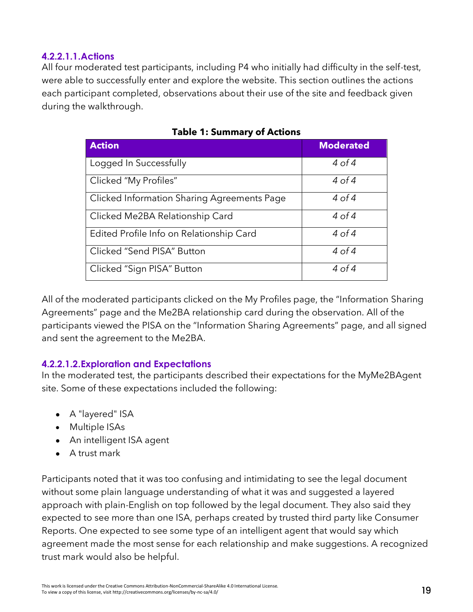#### **4.2.2.1.1.Actions**

All four moderated test participants, including P4 who initially had difficulty in the self-test, were able to successfully enter and explore the website. This section outlines the actions each participant completed, observations about their use of the site and feedback given during the walkthrough.

| <b>Action</b>                                      | <b>Moderated</b> |
|----------------------------------------------------|------------------|
| Logged In Successfully                             | $4$ of $4$       |
| Clicked "My Profiles"                              | 4 of 4           |
| <b>Clicked Information Sharing Agreements Page</b> | 4 of 4           |
| Clicked Me2BA Relationship Card                    | 4 of 4           |
| Edited Profile Info on Relationship Card           | 4 of 4           |
| Clicked "Send PISA" Button                         | 4 of 4           |
| Clicked "Sign PISA" Button                         | 4 of 4           |

#### **Table 1: Summary of Actions**

All of the moderated participants clicked on the My Profiles page, the "Information Sharing Agreements" page and the Me2BA relationship card during the observation. All of the participants viewed the PISA on the "Information Sharing Agreements" page, and all signed and sent the agreement to the Me2BA.

#### **4.2.2.1.2.Exploration and Expectations**

In the moderated test, the participants described their expectations for the MyMe2BAgent site. Some of these expectations included the following:

- A "layered" ISA
- Multiple ISAs
- An intelligent ISA agent
- A trust mark

Participants noted that it was too confusing and intimidating to see the legal document without some plain language understanding of what it was and suggested a layered approach with plain-English on top followed by the legal document. They also said they expected to see more than one ISA, perhaps created by trusted third party like Consumer Reports. One expected to see some type of an intelligent agent that would say which agreement made the most sense for each relationship and make suggestions. A recognized trust mark would also be helpful.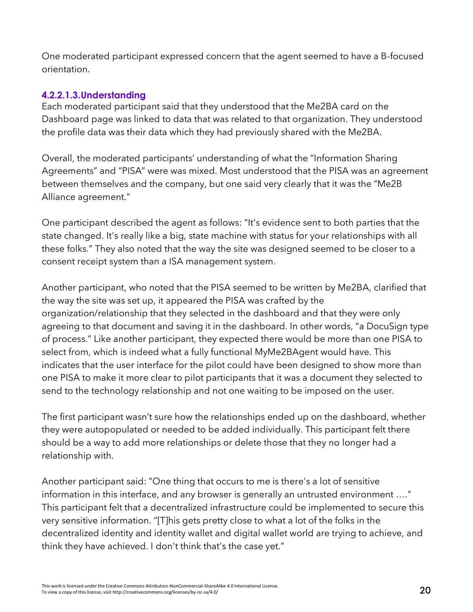One moderated participant expressed concern that the agent seemed to have a B-focused orientation.

#### **4.2.2.1.3.Understanding**

Each moderated participant said that they understood that the Me2BA card on the Dashboard page was linked to data that was related to that organization. They understood the profile data was their data which they had previously shared with the Me2BA.

Overall, the moderated participants' understanding of what the "Information Sharing Agreements" and "PISA" were was mixed. Most understood that the PISA was an agreement between themselves and the company, but one said very clearly that it was the "Me2B Alliance agreement."

One participant described the agent as follows: "It's evidence sent to both parties that the state changed. It's really like a big, state machine with status for your relationships with all these folks." They also noted that the way the site was designed seemed to be closer to a consent receipt system than a ISA management system.

Another participant, who noted that the PISA seemed to be written by Me2BA, clarified that the way the site was set up, it appeared the PISA was crafted by the organization/relationship that they selected in the dashboard and that they were only agreeing to that document and saving it in the dashboard. In other words, "a DocuSign type of process." Like another participant, they expected there would be more than one PISA to select from, which is indeed what a fully functional MyMe2BAgent would have. This indicates that the user interface for the pilot could have been designed to show more than one PISA to make it more clear to pilot participants that it was a document they selected to send to the technology relationship and not one waiting to be imposed on the user.

The first participant wasn't sure how the relationships ended up on the dashboard, whether they were autopopulated or needed to be added individually. This participant felt there should be a way to add more relationships or delete those that they no longer had a relationship with.

Another participant said: "One thing that occurs to me is there's a lot of sensitive information in this interface, and any browser is generally an untrusted environment …." This participant felt that a decentralized infrastructure could be implemented to secure this very sensitive information. "[T]his gets pretty close to what a lot of the folks in the decentralized identity and identity wallet and digital wallet world are trying to achieve, and think they have achieved. I don't think that's the case yet."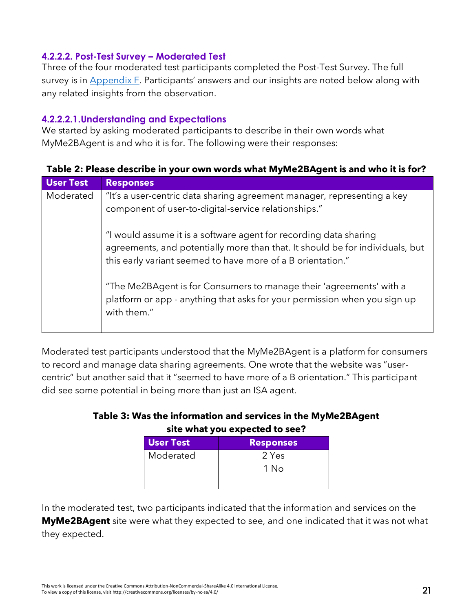#### **4.2.2.2. Post-Test Survey – Moderated Test**

Three of the four moderated test participants completed the Post-Test Survey. The full survey is in **Appendix F.** Participants' answers and our insights are noted below along with any related insights from the observation.

#### **4.2.2.2.1.Understanding and Expectations**

We started by asking moderated participants to describe in their own words what MyMe2BAgent is and who it is for. The following were their responses:

| <b>User Test</b> | <b>Responses</b>                                                                                                                                                                                                  |
|------------------|-------------------------------------------------------------------------------------------------------------------------------------------------------------------------------------------------------------------|
| Moderated        | "It's a user-centric data sharing agreement manager, representing a key<br>component of user-to-digital-service relationships."                                                                                   |
|                  | "I would assume it is a software agent for recording data sharing<br>agreements, and potentially more than that. It should be for individuals, but<br>this early variant seemed to have more of a B orientation." |
|                  | "The Me2BAgent is for Consumers to manage their 'agreements' with a<br>platform or app - anything that asks for your permission when you sign up<br>with them."                                                   |

#### **Table 2: Please describe in your own words what MyMe2BAgent is and who it is for?**

Moderated test participants understood that the MyMe2BAgent is a platform for consumers to record and manage data sharing agreements. One wrote that the website was "usercentric" but another said that it "seemed to have more of a B orientation." This participant did see some potential in being more than just an ISA agent.

### **Table 3: Was the information and services in the MyMe2BAgent site what you expected to see?**

| <b>User Test</b> | <b>Responses</b> |
|------------------|------------------|
| Moderated        | 2 Yes            |
|                  | 1 No             |
|                  |                  |

In the moderated test, two participants indicated that the information and services on the **MyMe2BAgent** site were what they expected to see, and one indicated that it was not what they expected.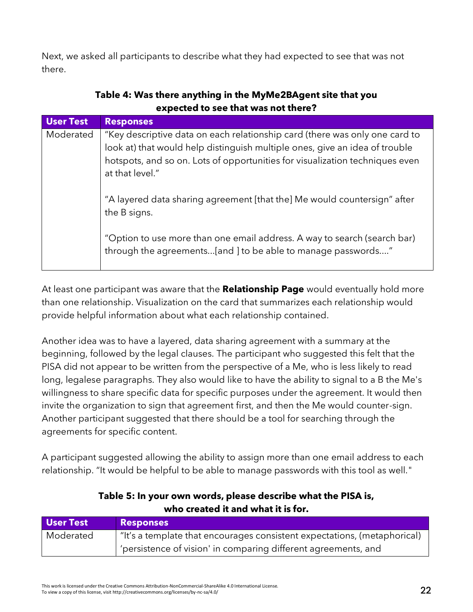Next, we asked all participants to describe what they had expected to see that was not there.

| <b>User Test</b> | <b>Responses</b>                                                                                                                                           |
|------------------|------------------------------------------------------------------------------------------------------------------------------------------------------------|
| Moderated        | "Key descriptive data on each relationship card (there was only one card to<br>look at) that would help distinguish multiple ones, give an idea of trouble |
|                  | hotspots, and so on. Lots of opportunities for visualization techniques even<br>at that level."                                                            |
|                  | "A layered data sharing agreement [that the] Me would countersign" after<br>the B signs.                                                                   |
|                  | "Option to use more than one email address. A way to search (search bar)<br>through the agreements[and ] to be able to manage passwords"                   |

#### **Table 4: Was there anything in the MyMe2BAgent site that you expected to see that was not there?**

At least one participant was aware that the **Relationship Page** would eventually hold more than one relationship. Visualization on the card that summarizes each relationship would provide helpful information about what each relationship contained.

Another idea was to have a layered, data sharing agreement with a summary at the beginning, followed by the legal clauses. The participant who suggested this felt that the PISA did not appear to be written from the perspective of a Me, who is less likely to read long, legalese paragraphs. They also would like to have the ability to signal to a B the Me's willingness to share specific data for specific purposes under the agreement. It would then invite the organization to sign that agreement first, and then the Me would counter-sign. Another participant suggested that there should be a tool for searching through the agreements for specific content.

A participant suggested allowing the ability to assign more than one email address to each relationship. "It would be helpful to be able to manage passwords with this tool as well."

| <b>User Test</b>                                                                      | <b>Responses</b>                                               |
|---------------------------------------------------------------------------------------|----------------------------------------------------------------|
| "It's a template that encourages consistent expectations, (metaphorical)<br>Moderated |                                                                |
|                                                                                       | 'persistence of vision' in comparing different agreements, and |

#### **Table 5: In your own words, please describe what the PISA is, who created it and what it is for.**

This work is licensed under the Creative Commons Attribution-NonCommercial-ShareAlike 4.0 International License. This work is licensed under the creative commons Attribution-Noncommercial-SnareAlike 4.0 international License.<br>To view a copy of this license, visit http://creativecommons.org/licenses/by-nc-sa/4.0/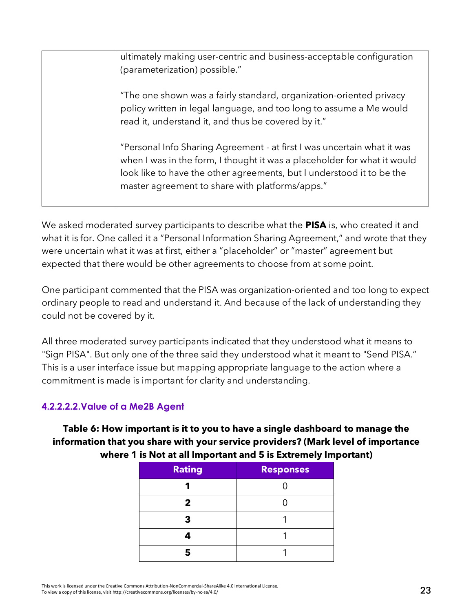ultimately making user-centric and business-acceptable configuration (parameterization) possible."

"The one shown was a fairly standard, organization-oriented privacy policy written in legal language, and too long to assume a Me would read it, understand it, and thus be covered by it."

"Personal Info Sharing Agreement - at first I was uncertain what it was when I was in the form, I thought it was a placeholder for what it would look like to have the other agreements, but I understood it to be the master agreement to share with platforms/apps."

We asked moderated survey participants to describe what the **PISA** is, who created it and what it is for. One called it a "Personal Information Sharing Agreement," and wrote that they were uncertain what it was at first, either a "placeholder" or "master" agreement but expected that there would be other agreements to choose from at some point.

One participant commented that the PISA was organization-oriented and too long to expect ordinary people to read and understand it. And because of the lack of understanding they could not be covered by it.

All three moderated survey participants indicated that they understood what it means to "Sign PISA". But only one of the three said they understood what it meant to "Send PISA." This is a user interface issue but mapping appropriate language to the action where a commitment is made is important for clarity and understanding.

### **4.2.2.2.2.Value of a Me2B Agent**

**Table 6: How important is it to you to have a single dashboard to manage the information that you share with your service providers? (Mark level of importance where 1 is Not at all Important and 5 is Extremely Important)**

| <b>Rating</b> | <b>Responses</b> |  |
|---------------|------------------|--|
|               |                  |  |
| 2             |                  |  |
| Э             |                  |  |
|               |                  |  |
|               |                  |  |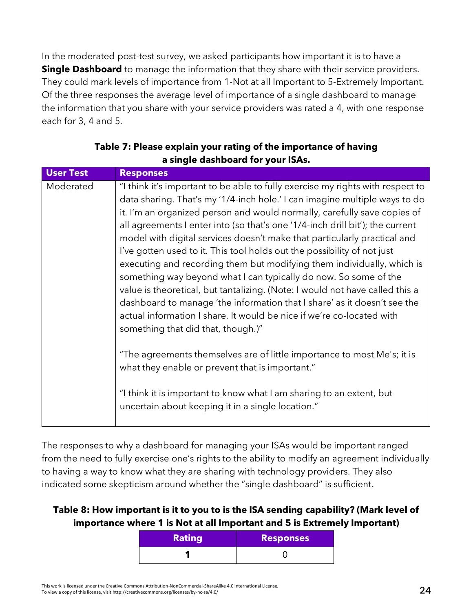In the moderated post-test survey, we asked participants how important it is to have a **Single Dashboard** to manage the information that they share with their service providers. They could mark levels of importance from 1-Not at all Important to 5-Extremely Important. Of the three responses the average level of importance of a single dashboard to manage the information that you share with your service providers was rated a 4, with one response each for 3, 4 and 5.

| <b>User Test</b> | <b>Responses</b>                                                                                                                                                                                                                                                                                                                                                                                                                                                                                                                                                                                                                                                                                                                                                                                                                                                                                                                                                                                                                                                                                                                                                     |
|------------------|----------------------------------------------------------------------------------------------------------------------------------------------------------------------------------------------------------------------------------------------------------------------------------------------------------------------------------------------------------------------------------------------------------------------------------------------------------------------------------------------------------------------------------------------------------------------------------------------------------------------------------------------------------------------------------------------------------------------------------------------------------------------------------------------------------------------------------------------------------------------------------------------------------------------------------------------------------------------------------------------------------------------------------------------------------------------------------------------------------------------------------------------------------------------|
| Moderated        | "I think it's important to be able to fully exercise my rights with respect to<br>data sharing. That's my '1/4-inch hole.' I can imagine multiple ways to do<br>it. I'm an organized person and would normally, carefully save copies of<br>all agreements I enter into (so that's one '1/4-inch drill bit'); the current<br>model with digital services doesn't make that particularly practical and<br>I've gotten used to it. This tool holds out the possibility of not just<br>executing and recording them but modifying them individually, which is<br>something way beyond what I can typically do now. So some of the<br>value is theoretical, but tantalizing. (Note: I would not have called this a<br>dashboard to manage 'the information that I share' as it doesn't see the<br>actual information I share. It would be nice if we're co-located with<br>something that did that, though.)"<br>"The agreements themselves are of little importance to most Me's; it is<br>what they enable or prevent that is important."<br>"I think it is important to know what I am sharing to an extent, but<br>uncertain about keeping it in a single location." |
|                  |                                                                                                                                                                                                                                                                                                                                                                                                                                                                                                                                                                                                                                                                                                                                                                                                                                                                                                                                                                                                                                                                                                                                                                      |

## **Table 7: Please explain your rating of the importance of having a single dashboard for your ISAs.**

The responses to why a dashboard for managing your ISAs would be important ranged from the need to fully exercise one's rights to the ability to modify an agreement individually to having a way to know what they are sharing with technology providers. They also indicated some skepticism around whether the "single dashboard" is sufficient.

## **Table 8: How important is it to you to is the ISA sending capability? (Mark level of importance where 1 is Not at all Important and 5 is Extremely Important)**

| <b>Rating</b> | <b>Responses</b> |
|---------------|------------------|
|               |                  |

This work is licensed under the Creative Commons Attribution-NonCommercial-ShareAlike 4.0 International License. This work is licensed under the creative commons Attribution-Noncommercial-ShareAlike 4.0 international License.<br>To view a copy of this license, visit http://creativecommons.org/licenses/by-nc-sa/4.0/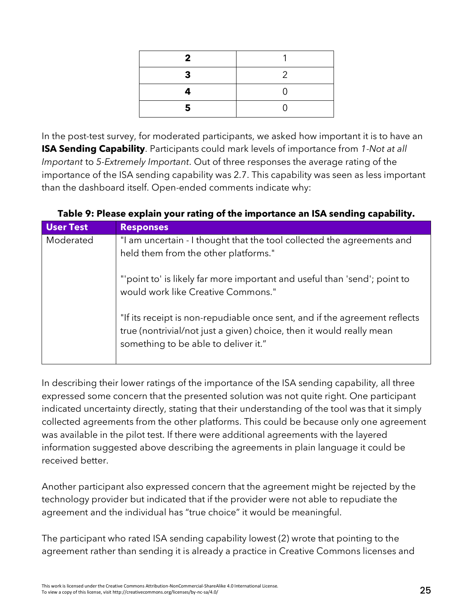| $\overline{2}$ |               |
|----------------|---------------|
| $\mathbf{3}$   | $\mathcal{P}$ |
| 4              | 0             |
| 5              | . L           |

In the post-test survey, for moderated participants, we asked how important it is to have an **ISA Sending Capability**. Participants could mark levels of importance from *1-Not at all Important* to *5-Extremely Important*. Out of three responses the average rating of the importance of the ISA sending capability was 2.7. This capability was seen as less important than the dashboard itself. Open-ended comments indicate why:

| Table 9: Please explain your rating of the importance an ISA sending capability. |  |  |  |
|----------------------------------------------------------------------------------|--|--|--|
|----------------------------------------------------------------------------------|--|--|--|

| <b>User Test</b> | <b>Responses</b>                                                                                                                                                                           |
|------------------|--------------------------------------------------------------------------------------------------------------------------------------------------------------------------------------------|
| Moderated        | "I am uncertain - I thought that the tool collected the agreements and<br>held them from the other platforms."                                                                             |
|                  | "'point to' is likely far more important and useful than 'send'; point to<br>would work like Creative Commons."                                                                            |
|                  | "If its receipt is non-repudiable once sent, and if the agreement reflects<br>true (nontrivial/not just a given) choice, then it would really mean<br>something to be able to deliver it." |

In describing their lower ratings of the importance of the ISA sending capability, all three expressed some concern that the presented solution was not quite right. One participant indicated uncertainty directly, stating that their understanding of the tool was that it simply collected agreements from the other platforms. This could be because only one agreement was available in the pilot test. If there were additional agreements with the layered information suggested above describing the agreements in plain language it could be received better.

Another participant also expressed concern that the agreement might be rejected by the technology provider but indicated that if the provider were not able to repudiate the agreement and the individual has "true choice" it would be meaningful.

The participant who rated ISA sending capability lowest (2) wrote that pointing to the agreement rather than sending it is already a practice in Creative Commons licenses and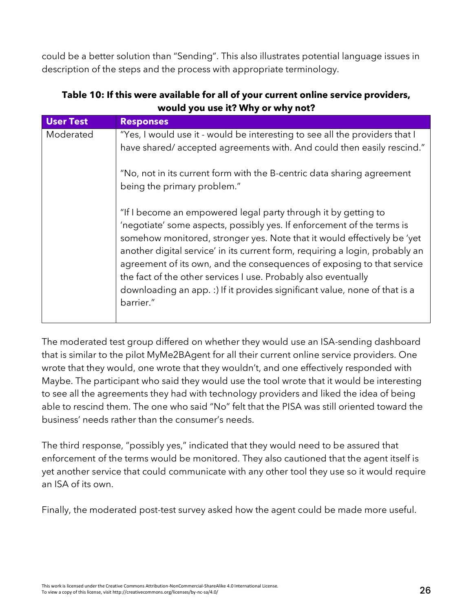could be a better solution than "Sending". This also illustrates potential language issues in description of the steps and the process with appropriate terminology.

| <b>User Test</b> | <b>Responses</b>                                                                                                                                                                                                                                                                                                                                                                                                                                                                                                                           |
|------------------|--------------------------------------------------------------------------------------------------------------------------------------------------------------------------------------------------------------------------------------------------------------------------------------------------------------------------------------------------------------------------------------------------------------------------------------------------------------------------------------------------------------------------------------------|
| Moderated        | "Yes, I would use it - would be interesting to see all the providers that I<br>have shared/accepted agreements with. And could then easily rescind."                                                                                                                                                                                                                                                                                                                                                                                       |
|                  | "No, not in its current form with the B-centric data sharing agreement<br>being the primary problem."                                                                                                                                                                                                                                                                                                                                                                                                                                      |
|                  | "If I become an empowered legal party through it by getting to<br>'negotiate' some aspects, possibly yes. If enforcement of the terms is<br>somehow monitored, stronger yes. Note that it would effectively be 'yet<br>another digital service' in its current form, requiring a login, probably an<br>agreement of its own, and the consequences of exposing to that service<br>the fact of the other services I use. Probably also eventually<br>downloading an app. :) If it provides significant value, none of that is a<br>barrier." |

## **Table 10: If this were available for all of your current online service providers, would you use it? Why or why not?**

The moderated test group differed on whether they would use an ISA-sending dashboard that is similar to the pilot MyMe2BAgent for all their current online service providers. One wrote that they would, one wrote that they wouldn't, and one effectively responded with Maybe. The participant who said they would use the tool wrote that it would be interesting to see all the agreements they had with technology providers and liked the idea of being able to rescind them. The one who said "No" felt that the PISA was still oriented toward the business' needs rather than the consumer's needs.

The third response, "possibly yes," indicated that they would need to be assured that enforcement of the terms would be monitored. They also cautioned that the agent itself is yet another service that could communicate with any other tool they use so it would require an ISA of its own.

Finally, the moderated post-test survey asked how the agent could be made more useful.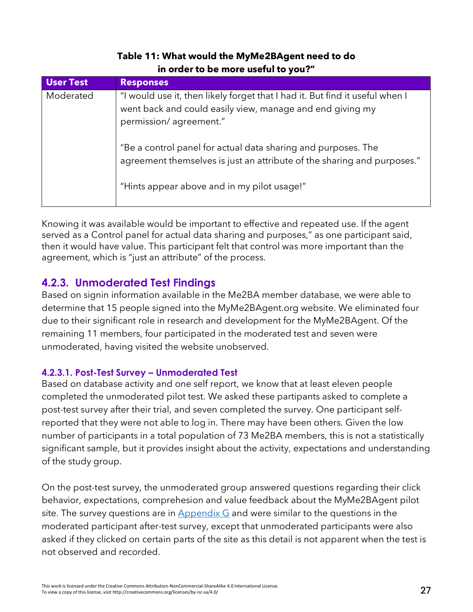| <b>User Test</b> | <b>Responses</b>                                                                                                                                                    |  |
|------------------|---------------------------------------------------------------------------------------------------------------------------------------------------------------------|--|
| Moderated        | "I would use it, then likely forget that I had it. But find it useful when I<br>went back and could easily view, manage and end giving my<br>permission/agreement." |  |
|                  | "Be a control panel for actual data sharing and purposes. The<br>agreement themselves is just an attribute of the sharing and purposes."                            |  |
|                  | "Hints appear above and in my pilot usage!"                                                                                                                         |  |

### **Table 11: What would the MyMe2BAgent need to do in order to be more useful to you?"**

Knowing it was available would be important to effective and repeated use. If the agent served as a Control panel for actual data sharing and purposes," as one participant said, then it would have value. This participant felt that control was more important than the agreement, which is "just an attribute" of the process.

## <span id="page-26-0"></span>**4.2.3. Unmoderated Test Findings**

Based on signin information available in the Me2BA member database, we were able to determine that 15 people signed into the MyMe2BAgent.org website. We eliminated four due to their significant role in research and development for the MyMe2BAgent. Of the remaining 11 members, four participated in the moderated test and seven were unmoderated, having visited the website unobserved.

#### **4.2.3.1. Post-Test Survey – Unmoderated Test**

Based on database activity and one self report, we know that at least eleven people completed the unmoderated pilot test. We asked these partipants asked to complete a post-test survey after their trial, and seven completed the survey. One participant selfreported that they were not able to log in. There may have been others. Given the low number of participants in a total population of 73 Me2BA members, this is not a statistically significant sample, but it provides insight about the activity, expectations and understanding of the study group.

On the post-test survey, the unmoderated group answered questions regarding their click behavior, expectations, comprehesion and value feedback about the MyMe2BAgent pilot site. The survey questions are in  $\Delta$ ppendix  $G$  and were similar to the questions in the moderated participant after-test survey, except that unmoderated participants were also asked if they clicked on certain parts of the site as this detail is not apparent when the test is not observed and recorded.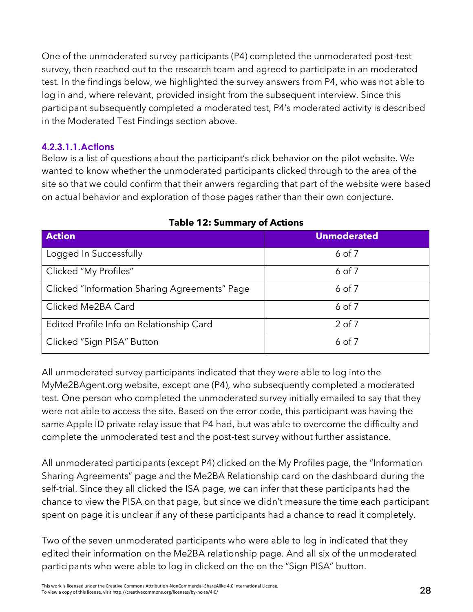One of the unmoderated survey participants (P4) completed the unmoderated post-test survey, then reached out to the research team and agreed to participate in an moderated test. In the findings below, we highlighted the survey answers from P4, who was not able to log in and, where relevant, provided insight from the subsequent interview. Since this participant subsequently completed a moderated test, P4's moderated activity is described in the Moderated Test Findings section above.

#### **4.2.3.1.1.Actions**

Below is a list of questions about the participant's click behavior on the pilot website. We wanted to know whether the unmoderated participants clicked through to the area of the site so that we could confirm that their anwers regarding that part of the website were based on actual behavior and exploration of those pages rather than their own conjecture.

| <b>Action</b>                                 | <b>Unmoderated</b> |
|-----------------------------------------------|--------------------|
| Logged In Successfully                        | $6$ of $7$         |
| Clicked "My Profiles"                         | $6$ of $7$         |
| Clicked "Information Sharing Agreements" Page | 6 of 7             |
| Clicked Me2BA Card                            | $6$ of $7$         |
| Edited Profile Info on Relationship Card      | $2$ of $7$         |
| Clicked "Sign PISA" Button                    | $6$ of $7$         |

#### **Table 12: Summary of Actions**

All unmoderated survey participants indicated that they were able to log into the MyMe2BAgent.org website, except one (P4), who subsequently completed a moderated test. One person who completed the unmoderated survey initially emailed to say that they were not able to access the site. Based on the error code, this participant was having the same Apple ID private relay issue that P4 had, but was able to overcome the difficulty and complete the unmoderated test and the post-test survey without further assistance.

All unmoderated participants (except P4) clicked on the My Profiles page, the "Information Sharing Agreements" page and the Me2BA Relationship card on the dashboard during the self-trial. Since they all clicked the ISA page, we can infer that these participants had the chance to view the PISA on that page, but since we didn't measure the time each participant spent on page it is unclear if any of these participants had a chance to read it completely.

Two of the seven unmoderated participants who were able to log in indicated that they edited their information on the Me2BA relationship page. And all six of the unmoderated participants who were able to log in clicked on the on the "Sign PISA" button.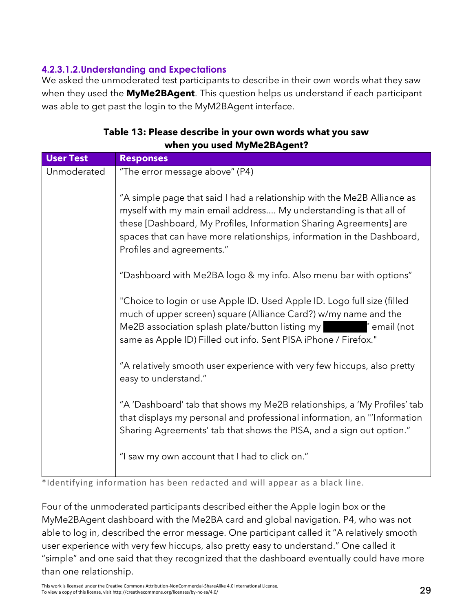## **4.2.3.1.2.Understanding and Expectations**

We asked the unmoderated test participants to describe in their own words what they saw when they used the **MyMe2BAgent**. This question helps us understand if each participant was able to get past the login to the MyM2BAgent interface.

| <b>User Test</b> | <b>Responses</b>                                                                                                                                                                                                                                                                                                          |  |
|------------------|---------------------------------------------------------------------------------------------------------------------------------------------------------------------------------------------------------------------------------------------------------------------------------------------------------------------------|--|
| Unmoderated      | "The error message above" (P4)                                                                                                                                                                                                                                                                                            |  |
|                  | "A simple page that said I had a relationship with the Me2B Alliance as<br>myself with my main email address My understanding is that all of<br>these [Dashboard, My Profiles, Information Sharing Agreements] are<br>spaces that can have more relationships, information in the Dashboard,<br>Profiles and agreements." |  |
|                  | "Dashboard with Me2BA logo & my info. Also menu bar with options"                                                                                                                                                                                                                                                         |  |
|                  | "Choice to login or use Apple ID. Used Apple ID. Logo full size (filled<br>much of upper screen) square (Alliance Card?) w/my name and the<br>Me2B association splash plate/button listing my<br>* email (not<br>same as Apple ID) Filled out info. Sent PISA iPhone / Firefox."                                          |  |
|                  | "A relatively smooth user experience with very few hiccups, also pretty<br>easy to understand."                                                                                                                                                                                                                           |  |
|                  | "A 'Dashboard' tab that shows my Me2B relationships, a 'My Profiles' tab<br>that displays my personal and professional information, an "'Information<br>Sharing Agreements' tab that shows the PISA, and a sign out option."                                                                                              |  |
|                  | "I saw my own account that I had to click on."                                                                                                                                                                                                                                                                            |  |

### **Table 13: Please describe in your own words what you saw when you used MyMe2BAgent?**

\*Identifying information has been redacted and will appear as a black line.

Four of the unmoderated participants described either the Apple login box or the MyMe2BAgent dashboard with the Me2BA card and global navigation. P4, who was not able to log in, described the error message. One participant called it "A relatively smooth user experience with very few hiccups, also pretty easy to understand." One called it "simple" and one said that they recognized that the dashboard eventually could have more than one relationship.

This work is licensed under the Creative Commons Attribution-NonCommercial-ShareAlike 4.0 International License. This work is licensed under the creative commons Attribution-Noncommercial-ShareAlike 4.0 international License.<br>To view a copy of this license, visit http://creativecommons.org/licenses/by-nc-sa/4.0/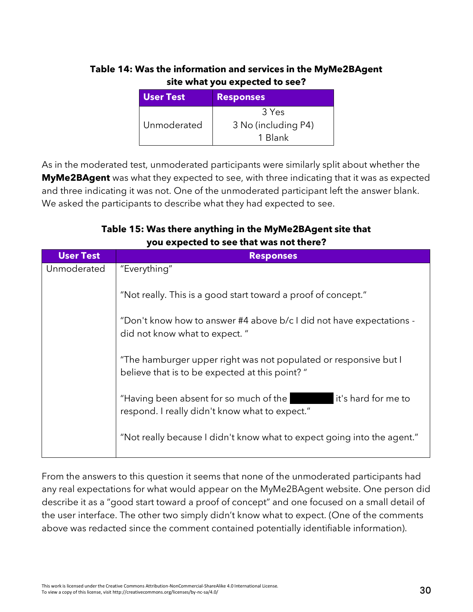## **Table 14: Was the information and services in the MyMe2BAgent site what you expected to see?**

| <b>User Test</b> | <b>Responses</b>    |
|------------------|---------------------|
|                  | 3 Yes               |
| Unmoderated      | 3 No (including P4) |
|                  | 1 Blank             |

As in the moderated test, unmoderated participants were similarly split about whether the **MyMe2BAgent** was what they expected to see, with three indicating that it was as expected and three indicating it was not. One of the unmoderated participant left the answer blank. We asked the participants to describe what they had expected to see.

## **Table 15: Was there anything in the MyMe2BAgent site that you expected to see that was not there?**

| <b>User Test</b> | <b>Responses</b>                                                                                                   |
|------------------|--------------------------------------------------------------------------------------------------------------------|
| Unmoderated      | "Everything"                                                                                                       |
|                  | "Not really. This is a good start toward a proof of concept."                                                      |
|                  | "Don't know how to answer #4 above b/c I did not have expectations -<br>did not know what to expect. "             |
|                  | "The hamburger upper right was not populated or responsive but I<br>believe that is to be expected at this point?" |
|                  | it's hard for me to<br>"Having been absent for so much of the<br>respond. I really didn't know what to expect."    |
|                  | "Not really because I didn't know what to expect going into the agent."                                            |

From the answers to this question it seems that none of the unmoderated participants had any real expectations for what would appear on the MyMe2BAgent website. One person did describe it as a "good start toward a proof of concept" and one focused on a small detail of the user interface. The other two simply didn't know what to expect. (One of the comments above was redacted since the comment contained potentially identifiable information).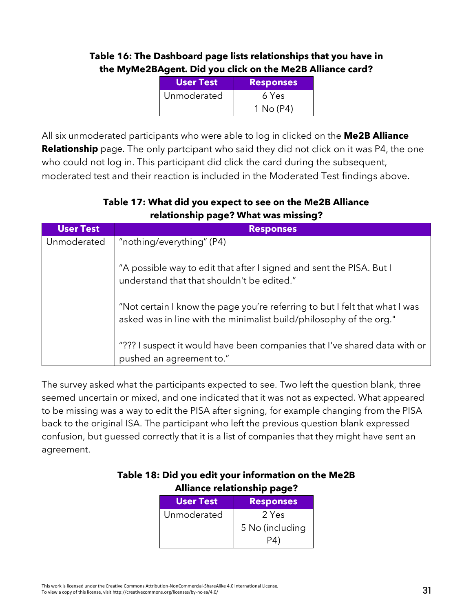## **Table 16: The Dashboard page lists relationships that you have in the MyMe2BAgent. Did you click on the Me2B Alliance card?**

| <b>User Test</b> | <b>Responses</b> |
|------------------|------------------|
| Unmoderated      | 6 Yes            |
|                  | 1 No (P4)        |

All six unmoderated participants who were able to log in clicked on the **Me2B Alliance Relationship** page. The only partcipant who said they did not click on it was P4, the one who could not log in. This participant did click the card during the subsequent, moderated test and their reaction is included in the Moderated Test findings above.

#### **Table 17: What did you expect to see on the Me2B Alliance relationship page? What was missing?**

| <b>User Test</b> | <b>Responses</b>                                                                                                                                   |
|------------------|----------------------------------------------------------------------------------------------------------------------------------------------------|
| Unmoderated      | "nothing/everything" (P4)                                                                                                                          |
|                  | "A possible way to edit that after I signed and sent the PISA. But I<br>understand that that shouldn't be edited."                                 |
|                  | "Not certain I know the page you're referring to but I felt that what I was<br>asked was in line with the minimalist build/philosophy of the org." |
|                  | "??? I suspect it would have been companies that I've shared data with or<br>pushed an agreement to."                                              |

The survey asked what the participants expected to see. Two left the question blank, three seemed uncertain or mixed, and one indicated that it was not as expected. What appeared to be missing was a way to edit the PISA after signing, for example changing from the PISA back to the original ISA. The participant who left the previous question blank expressed confusion, but guessed correctly that it is a list of companies that they might have sent an agreement.

#### **Table 18: Did you edit your information on the Me2B Alliance relationship page?**

| User Test   | <b>Responses</b> |
|-------------|------------------|
| Unmoderated | 2 Yes            |
|             | 5 No (including  |
|             | P4)              |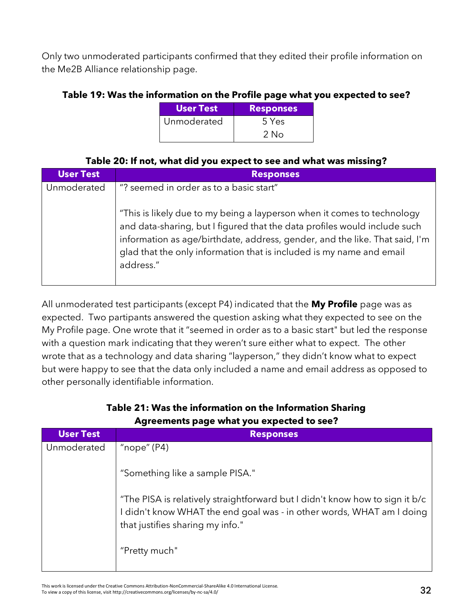Only two unmoderated participants confirmed that they edited their profile information on the Me2B Alliance relationship page.

## **Table 19: Was the information on the Profile page what you expected to see?**

| <b>User Test</b> | <b>Responses</b> |
|------------------|------------------|
| Unmoderated      | 5 Yes            |
|                  | $2$ No           |

#### **Table 20: If not, what did you expect to see and what was missing?**

| <b>User Test</b> | <b>Responses</b>                                                                                                                                                                                                                                                                                                         |
|------------------|--------------------------------------------------------------------------------------------------------------------------------------------------------------------------------------------------------------------------------------------------------------------------------------------------------------------------|
| Unmoderated      | "? seemed in order as to a basic start"                                                                                                                                                                                                                                                                                  |
|                  | "This is likely due to my being a layperson when it comes to technology<br>and data-sharing, but I figured that the data profiles would include such<br>information as age/birthdate, address, gender, and the like. That said, I'm<br>glad that the only information that is included is my name and email<br>address." |

All unmoderated test participants (except P4) indicated that the **My Profile** page was as expected. Two partipants answered the question asking what they expected to see on the My Profile page. One wrote that it "seemed in order as to a basic start" but led the response with a question mark indicating that they weren't sure either what to expect. The other wrote that as a technology and data sharing "layperson," they didn't know what to expect but were happy to see that the data only included a name and email address as opposed to other personally identifiable information.

## **Table 21: Was the information on the Information Sharing Agreements page what you expected to see?**

| <b>User Test</b> | <b>Responses</b>                                                                                                                                                                          |
|------------------|-------------------------------------------------------------------------------------------------------------------------------------------------------------------------------------------|
| Unmoderated      | "nope" $(P4)$                                                                                                                                                                             |
|                  | "Something like a sample PISA."                                                                                                                                                           |
|                  | "The PISA is relatively straightforward but I didn't know how to sign it b/c<br>I didn't know WHAT the end goal was - in other words, WHAT am I doing<br>that justifies sharing my info." |
|                  | "Pretty much"                                                                                                                                                                             |

This work is licensed under the Creative Commons Attribution-NonCommercial-ShareAlike 4.0 International License. This work is licensed under the creative commons Attribution-Noncommercial-SnareAlike 4.0 international License.<br>To view a copy of this license, visit http://creativecommons.org/licenses/by-nc-sa/4.0/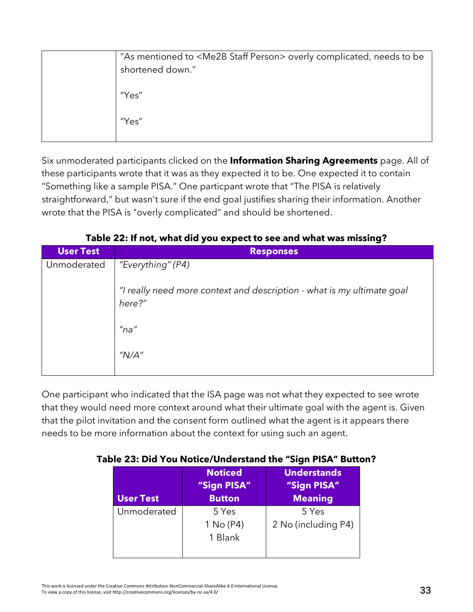| "As mentioned to <me2b person="" staff=""> overly complicated, needs to be<br/>shortened down."</me2b> |
|--------------------------------------------------------------------------------------------------------|
| "Yes"                                                                                                  |
| "Yes"                                                                                                  |
|                                                                                                        |

Six unmoderated participants clicked on the **Information Sharing Agreements** page. All of these participants wrote that it was as they expected it to be. One expected it to contain "Something like a sample PISA." One particpant wrote that "The PISA is relatively straightforward," but wasn't sure if the end goal justifies sharing their information. Another wrote that the PISA is "overly complicated" and should be shortened.

**Table 22: If not, what did you expect to see and what was missing?**

| <b>User Test</b> | <b>Responses</b>                                                                 |
|------------------|----------------------------------------------------------------------------------|
| Unmoderated      | "Everything" (P4)                                                                |
|                  | "I really need more context and description - what is my ultimate goal<br>here?" |
|                  | "na"                                                                             |
|                  | " $N/A$ "                                                                        |

One participant who indicated that the ISA page was not what they expected to see wrote that they would need more context around what their ultimate goal with the agent is. Given that the pilot invitation and the consent form outlined what the agent is it appears there needs to be more information about the context for using such an agent.

#### **Table 23: Did You Notice/Understand the "Sign PISA" Button?**

| <b>User Test</b> | <b>Noticed</b><br>"Sign PISA"<br><b>Button</b> | <b>Understands</b><br>"Sign PISA"<br><b>Meaning</b> |
|------------------|------------------------------------------------|-----------------------------------------------------|
| Unmoderated      | 5 Yes<br>1 No (P4)<br>1 Blank                  | 5 Yes<br>2 No (including P4)                        |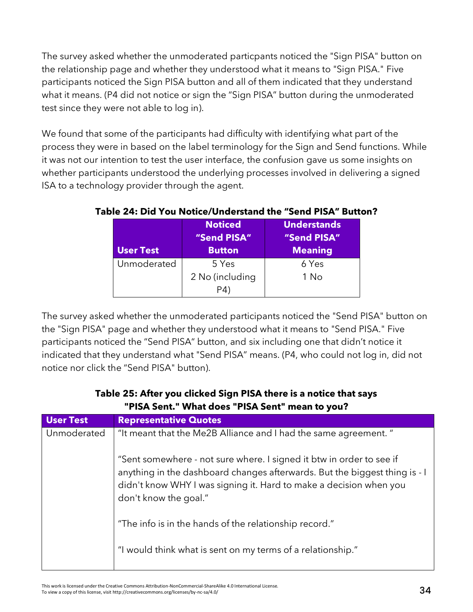The survey asked whether the unmoderated particpants noticed the "Sign PISA" button on the relationship page and whether they understood what it means to "Sign PISA." Five participants noticed the Sign PISA button and all of them indicated that they understand what it means. (P4 did not notice or sign the "Sign PISA" button during the unmoderated test since they were not able to log in).

We found that some of the participants had difficulty with identifying what part of the process they were in based on the label terminology for the Sign and Send functions. While it was not our intention to test the user interface, the confusion gave us some insights on whether participants understood the underlying processes involved in delivering a signed ISA to a technology provider through the agent.

| <b>User Test</b> | <b>Noticed</b><br>"Send PISA"<br><b>Button</b> | <b>Understands</b><br>"Send PISA"<br><b>Meaning</b> |
|------------------|------------------------------------------------|-----------------------------------------------------|
| Unmoderated      | 5 Yes                                          | 6 Yes                                               |
|                  | 2 No (including<br>P4)                         | 1 No                                                |

## **Table 24: Did You Notice/Understand the "Send PISA" Button?**

The survey asked whether the unmoderated participants noticed the "Send PISA" button on the "Sign PISA" page and whether they understood what it means to "Send PISA." Five participants noticed the "Send PISA" button, and six including one that didn't notice it indicated that they understand what "Send PISA" means. (P4, who could not log in, did not notice nor click the "Send PISA" button).

# **User Test Representative Quotes** Unmoderated | "It meant that the Me2B Alliance and I had the same agreement." "Sent somewhere - not sure where. I signed it btw in order to see if anything in the dashboard changes afterwards. But the biggest thing is - I didn't know WHY I was signing it. Hard to make a decision when you don't know the goal." "The info is in the hands of the relationship record." "I would think what is sent on my terms of a relationship."

## **Table 25: After you clicked Sign PISA there is a notice that says "PISA Sent." What does "PISA Sent" mean to you?**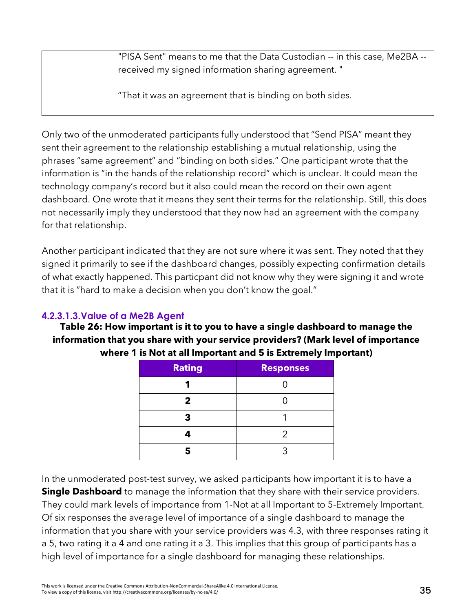| "PISA Sent" means to me that the Data Custodian -- in this case, Me2BA --<br>received my signed information sharing agreement. " |
|----------------------------------------------------------------------------------------------------------------------------------|
| "That it was an agreement that is binding on both sides.                                                                         |

Only two of the unmoderated participants fully understood that "Send PISA" meant they sent their agreement to the relationship establishing a mutual relationship, using the phrases "same agreement" and "binding on both sides." One participant wrote that the information is "in the hands of the relationship record" which is unclear. It could mean the technology company's record but it also could mean the record on their own agent dashboard. One wrote that it means they sent their terms for the relationship. Still, this does not necessarily imply they understood that they now had an agreement with the company for that relationship.

Another participant indicated that they are not sure where it was sent. They noted that they signed it primarily to see if the dashboard changes, possibly expecting confirmation details of what exactly happened. This particpant did not know why they were signing it and wrote that it is "hard to make a decision when you don't know the goal."

### **4.2.3.1.3.Value of a Me2B Agent**

**Table 26: How important is it to you to have a single dashboard to manage the information that you share with your service providers? (Mark level of importance where 1 is Not at all Important and 5 is Extremely Important)**

| <b>Rating</b> | <b>Responses</b> |
|---------------|------------------|
|               |                  |
| 2             |                  |
| 3             |                  |
|               | 2                |
| E             | ર                |

In the unmoderated post-test survey, we asked participants how important it is to have a **Single Dashboard** to manage the information that they share with their service providers. They could mark levels of importance from 1-Not at all Important to 5-Extremely Important. Of six responses the average level of importance of a single dashboard to manage the information that you share with your service providers was 4.3, with three responses rating it a 5, two rating it a 4 and one rating it a 3. This implies that this group of participants has a high level of importance for a single dashboard for managing these relationships.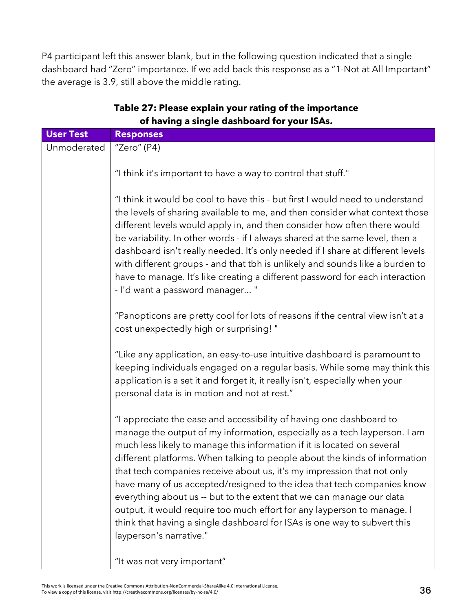P4 participant left this answer blank, but in the following question indicated that a single dashboard had "Zero" importance. If we add back this response as a "1-Not at All Important" the average is 3.9, still above the middle rating.

| <b>User Test</b> | <b>Responses</b>                                                                                                                                                                                                                                                                                                                                                                                                                                                                                                                                                                                                                                                                                                        |
|------------------|-------------------------------------------------------------------------------------------------------------------------------------------------------------------------------------------------------------------------------------------------------------------------------------------------------------------------------------------------------------------------------------------------------------------------------------------------------------------------------------------------------------------------------------------------------------------------------------------------------------------------------------------------------------------------------------------------------------------------|
| Unmoderated      | "Zero" $(P4)$                                                                                                                                                                                                                                                                                                                                                                                                                                                                                                                                                                                                                                                                                                           |
|                  | "I think it's important to have a way to control that stuff."                                                                                                                                                                                                                                                                                                                                                                                                                                                                                                                                                                                                                                                           |
|                  | "I think it would be cool to have this - but first I would need to understand<br>the levels of sharing available to me, and then consider what context those<br>different levels would apply in, and then consider how often there would<br>be variability. In other words - if I always shared at the same level, then a<br>dashboard isn't really needed. It's only needed if I share at different levels<br>with different groups - and that tbh is unlikely and sounds like a burden to<br>have to manage. It's like creating a different password for each interaction<br>- I'd want a password manager "                                                                                                          |
|                  | "Panopticons are pretty cool for lots of reasons if the central view isn't at a<br>cost unexpectedly high or surprising! "                                                                                                                                                                                                                                                                                                                                                                                                                                                                                                                                                                                              |
|                  | "Like any application, an easy-to-use intuitive dashboard is paramount to<br>keeping individuals engaged on a regular basis. While some may think this<br>application is a set it and forget it, it really isn't, especially when your<br>personal data is in motion and not at rest."                                                                                                                                                                                                                                                                                                                                                                                                                                  |
|                  | "I appreciate the ease and accessibility of having one dashboard to<br>manage the output of my information, especially as a tech layperson. I am<br>much less likely to manage this information if it is located on several<br>different platforms. When talking to people about the kinds of information<br>that tech companies receive about us, it's my impression that not only<br>have many of us accepted/resigned to the idea that tech companies know<br>everything about us -- but to the extent that we can manage our data<br>output, it would require too much effort for any layperson to manage. I<br>think that having a single dashboard for ISAs is one way to subvert this<br>layperson's narrative." |
|                  | "It was not very important"                                                                                                                                                                                                                                                                                                                                                                                                                                                                                                                                                                                                                                                                                             |

## **Table 27: Please explain your rating of the importance of having a single dashboard for your ISAs.**

This work is licensed under the Creative Commons Attribution-NonCommercial-ShareAlike 4.0 International License. This work is licensed under the Creative Commons Attribution-NonCommercial-ShareAlike 4.0 International License.<br>To view a copy of this license, visit http://creativecommons.org/licenses/by-nc-sa/4.0/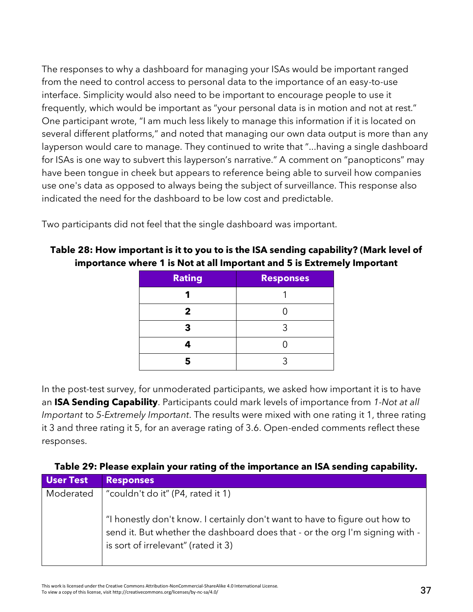The responses to why a dashboard for managing your ISAs would be important ranged from the need to control access to personal data to the importance of an easy-to-use interface. Simplicity would also need to be important to encourage people to use it frequently, which would be important as "your personal data is in motion and not at rest." One participant wrote, "I am much less likely to manage this information if it is located on several different platforms," and noted that managing our own data output is more than any layperson would care to manage. They continued to write that "...having a single dashboard for ISAs is one way to subvert this layperson's narrative." A comment on "panopticons" may have been tongue in cheek but appears to reference being able to surveil how companies use one's data as opposed to always being the subject of surveillance. This response also indicated the need for the dashboard to be low cost and predictable.

Two participants did not feel that the single dashboard was important.

| <b>Rating</b> | <b>Responses</b> |
|---------------|------------------|
|               |                  |
| 2             |                  |
| З             |                  |
|               |                  |
| ς             |                  |

## **Table 28: How important is it to you to is the ISA sending capability? (Mark level of importance where 1 is Not at all Important and 5 is Extremely Important**

In the post-test survey, for unmoderated participants, we asked how important it is to have an **ISA Sending Capability**. Participants could mark levels of importance from *1-Not at all Important* to *5-Extremely Important*. The results were mixed with one rating it 1, three rating it 3 and three rating it 5, for an average rating of 3.6. Open-ended comments reflect these responses.

| Table 29: Please explain your rating of the importance an ISA sending capability. |  |  |  |
|-----------------------------------------------------------------------------------|--|--|--|
|                                                                                   |  |  |  |

| User Test | <b>Responses</b>                                                                                                    |
|-----------|---------------------------------------------------------------------------------------------------------------------|
| Moderated | "couldn't do it" (P4, rated it 1)<br>"I honestly don't know. I certainly don't want to have to figure out how to    |
|           | send it. But whether the dashboard does that - or the org I'm signing with -<br>is sort of irrelevant" (rated it 3) |

This work is licensed under the Creative Commons Attribution-NonCommercial-ShareAlike 4.0 International License. This work is licensed under the creative commons Attribution-Noncommercial-ShareAlike 4.0 international License.<br>To view a copy of this license, visit http://creativecommons.org/licenses/by-nc-sa/4.0/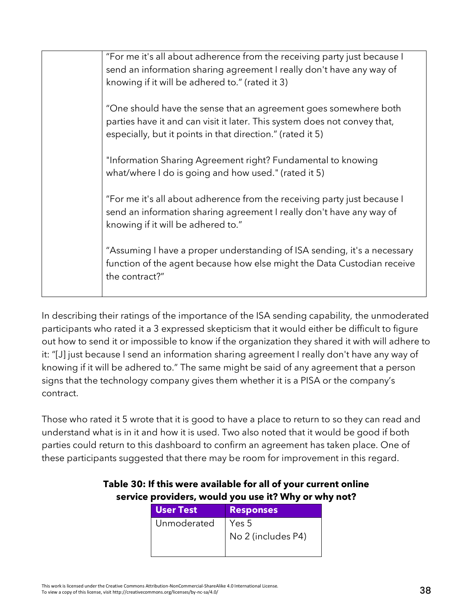| "For me it's all about adherence from the receiving party just because I<br>send an information sharing agreement I really don't have any way of<br>knowing if it will be adhered to." (rated it 3)         |
|-------------------------------------------------------------------------------------------------------------------------------------------------------------------------------------------------------------|
| "One should have the sense that an agreement goes somewhere both<br>parties have it and can visit it later. This system does not convey that,<br>especially, but it points in that direction." (rated it 5) |
| "Information Sharing Agreement right? Fundamental to knowing<br>what/where I do is going and how used." (rated it 5)                                                                                        |
| "For me it's all about adherence from the receiving party just because I<br>send an information sharing agreement I really don't have any way of<br>knowing if it will be adhered to."                      |
| "Assuming I have a proper understanding of ISA sending, it's a necessary<br>function of the agent because how else might the Data Custodian receive<br>the contract?"                                       |
|                                                                                                                                                                                                             |

In describing their ratings of the importance of the ISA sending capability, the unmoderated participants who rated it a 3 expressed skepticism that it would either be difficult to figure out how to send it or impossible to know if the organization they shared it with will adhere to it: "[J] just because I send an information sharing agreement I really don't have any way of knowing if it will be adhered to." The same might be said of any agreement that a person signs that the technology company gives them whether it is a PISA or the company's contract.

Those who rated it 5 wrote that it is good to have a place to return to so they can read and understand what is in it and how it is used. Two also noted that it would be good if both parties could return to this dashboard to confirm an agreement has taken place. One of these participants suggested that there may be room for improvement in this regard.

| <b>User Test</b> | <b>Responses</b>   |
|------------------|--------------------|
| Unmoderated      | Yes 5              |
|                  | No 2 (includes P4) |
|                  |                    |

## **Table 30: If this were available for all of your current online service providers, would you use it? Why or why not?**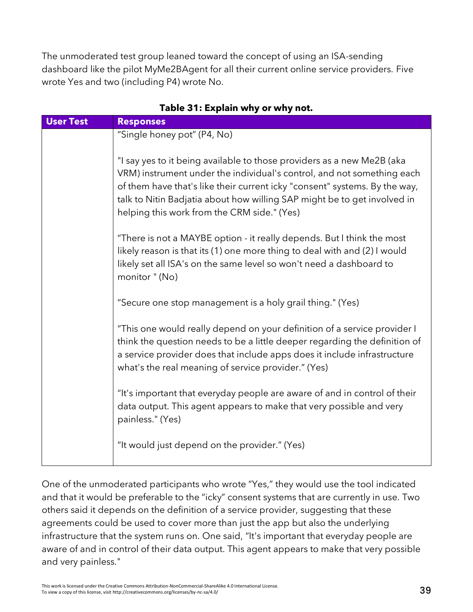The unmoderated test group leaned toward the concept of using an ISA-sending dashboard like the pilot MyMe2BAgent for all their current online service providers. Five wrote Yes and two (including P4) wrote No.

| <b>User Test</b> | <b>Responses</b>                                                                                                                                                                                                                                                                                                                                          |
|------------------|-----------------------------------------------------------------------------------------------------------------------------------------------------------------------------------------------------------------------------------------------------------------------------------------------------------------------------------------------------------|
|                  | "Single honey pot" (P4, No)                                                                                                                                                                                                                                                                                                                               |
|                  | "I say yes to it being available to those providers as a new Me2B (aka<br>VRM) instrument under the individual's control, and not something each<br>of them have that's like their current icky "consent" systems. By the way,<br>talk to Nitin Badjatia about how willing SAP might be to get involved in<br>helping this work from the CRM side." (Yes) |
|                  | "There is not a MAYBE option - it really depends. But I think the most<br>likely reason is that its (1) one more thing to deal with and (2) I would<br>likely set all ISA's on the same level so won't need a dashboard to<br>monitor "(No)                                                                                                               |
|                  | "Secure one stop management is a holy grail thing." (Yes)                                                                                                                                                                                                                                                                                                 |
|                  | "This one would really depend on your definition of a service provider I<br>think the question needs to be a little deeper regarding the definition of<br>a service provider does that include apps does it include infrastructure<br>what's the real meaning of service provider." (Yes)                                                                 |
|                  | "It's important that everyday people are aware of and in control of their<br>data output. This agent appears to make that very possible and very<br>painless." (Yes)                                                                                                                                                                                      |
|                  | "It would just depend on the provider." (Yes)                                                                                                                                                                                                                                                                                                             |

#### **Table 31: Explain why or why not.**

One of the unmoderated participants who wrote "Yes," they would use the tool indicated and that it would be preferable to the "icky" consent systems that are currently in use. Two others said it depends on the definition of a service provider, suggesting that these agreements could be used to cover more than just the app but also the underlying infrastructure that the system runs on. One said, "It's important that everyday people are aware of and in control of their data output. This agent appears to make that very possible and very painless."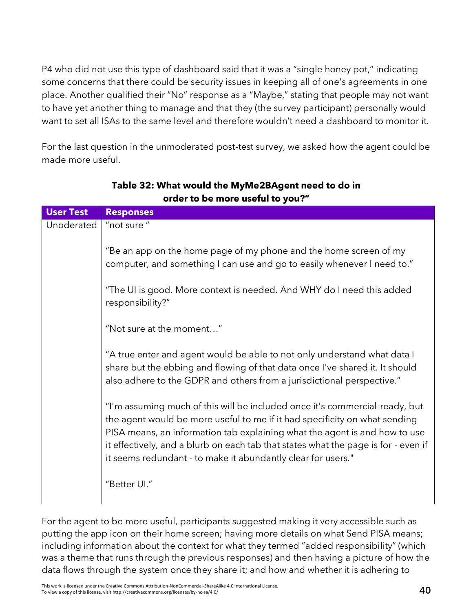P4 who did not use this type of dashboard said that it was a "single honey pot," indicating some concerns that there could be security issues in keeping all of one's agreements in one place. Another qualified their "No" response as a "Maybe," stating that people may not want to have yet another thing to manage and that they (the survey participant) personally would want to set all ISAs to the same level and therefore wouldn't need a dashboard to monitor it.

For the last question in the unmoderated post-test survey, we asked how the agent could be made more useful.

| <b>User Test</b> | <b>Responses</b>                                                                                                                                                                                                                                                                                                                                                                              |
|------------------|-----------------------------------------------------------------------------------------------------------------------------------------------------------------------------------------------------------------------------------------------------------------------------------------------------------------------------------------------------------------------------------------------|
| Unoderated       | "not sure"                                                                                                                                                                                                                                                                                                                                                                                    |
|                  | "Be an app on the home page of my phone and the home screen of my<br>computer, and something I can use and go to easily whenever I need to."                                                                                                                                                                                                                                                  |
|                  | "The UI is good. More context is needed. And WHY do I need this added<br>responsibility?"                                                                                                                                                                                                                                                                                                     |
|                  | "Not sure at the moment"                                                                                                                                                                                                                                                                                                                                                                      |
|                  | "A true enter and agent would be able to not only understand what data I<br>share but the ebbing and flowing of that data once I've shared it. It should<br>also adhere to the GDPR and others from a jurisdictional perspective."                                                                                                                                                            |
|                  | "I'm assuming much of this will be included once it's commercial-ready, but<br>the agent would be more useful to me if it had specificity on what sending<br>PISA means, an information tab explaining what the agent is and how to use<br>it effectively, and a blurb on each tab that states what the page is for - even if<br>it seems redundant - to make it abundantly clear for users." |
|                  | "Better UI."                                                                                                                                                                                                                                                                                                                                                                                  |

## **Table 32: What would the MyMe2BAgent need to do in order to be more useful to you?"**

For the agent to be more useful, participants suggested making it very accessible such as putting the app icon on their home screen; having more details on what Send PISA means; including information about the context for what they termed "added responsibility" (which was a theme that runs through the previous responses) and then having a picture of how the data flows through the system once they share it; and how and whether it is adhering to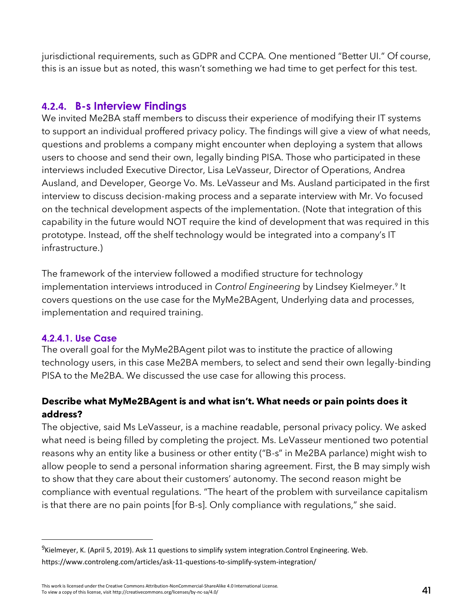jurisdictional requirements, such as GDPR and CCPA. One mentioned "Better UI." Of course, this is an issue but as noted, this wasn't something we had time to get perfect for this test.

## <span id="page-40-0"></span>**4.2.4. B-s Interview Findings**

We invited Me2BA staff members to discuss their experience of modifying their IT systems to support an individual proffered privacy policy. The findings will give a view of what needs, questions and problems a company might encounter when deploying a system that allows users to choose and send their own, legally binding PISA. Those who participated in these interviews included Executive Director, Lisa LeVasseur, Director of Operations, Andrea Ausland, and Developer, George Vo. Ms. LeVasseur and Ms. Ausland participated in the first interview to discuss decision-making process and a separate interview with Mr. Vo focused on the technical development aspects of the implementation. (Note that integration of this capability in the future would NOT require the kind of development that was required in this prototype. Instead, off the shelf technology would be integrated into a company's IT infrastructure.)

The framework of the interview followed a modified structure for technology implementation interviews introduced in *Control Engineering* by Lindsey Kielmeyer.<sup>9</sup> It covers questions on the use case for the MyMe2BAgent, Underlying data and processes, implementation and required training.

### **4.2.4.1. Use Case**

The overall goal for the MyMe2BAgent pilot was to institute the practice of allowing technology users, in this case Me2BA members, to select and send their own legally-binding PISA to the Me2BA. We discussed the use case for allowing this process.

## **Describe what MyMe2BAgent is and what isn't. What needs or pain points does it address?**

The objective, said Ms LeVasseur, is a machine readable, personal privacy policy. We asked what need is being filled by completing the project. Ms. LeVasseur mentioned two potential reasons why an entity like a business or other entity ("B-s" in Me2BA parlance) might wish to allow people to send a personal information sharing agreement. First, the B may simply wish to show that they care about their customers' autonomy. The second reason might be compliance with eventual regulations. "The heart of the problem with surveilance capitalism is that there are no pain points [for B-s]. Only compliance with regulations," she said.

This work is licensed under the Creative Commons Attribution-NonCommercial-ShareAlike 4.0 International License. This work is licensed under the creative commons Attribution-Noncommercial-ShareAlike 4.0 international License.<br>To view a copy of this license, visit http://creativecommons.org/licenses/by-nc-sa/4.0/

<sup>9</sup>Kielmeyer, K. (April 5, 2019). Ask 11 questions to simplify system integration.Control Engineering. Web. https://www.controleng.com/articles/ask-11-questions-to-simplify-system-integration/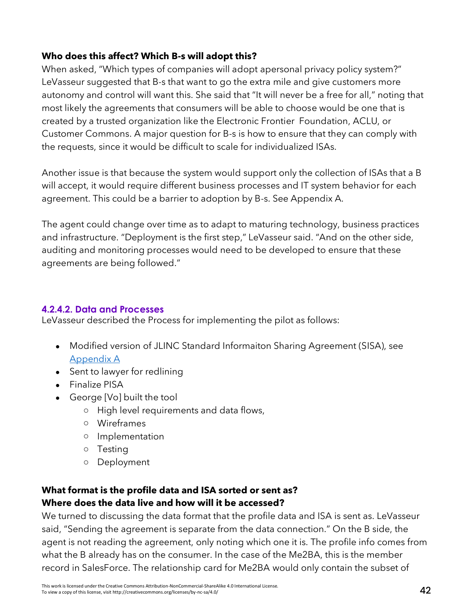### **Who does this affect? Which B-s will adopt this?**

When asked, "Which types of companies will adopt apersonal privacy policy system?" LeVasseur suggested that B-s that want to go the extra mile and give customers more autonomy and control will want this. She said that "It will never be a free for all," noting that most likely the agreements that consumers will be able to choose would be one that is created by a trusted organization like the Electronic Frontier Foundation, ACLU, or Customer Commons. A major question for B-s is how to ensure that they can comply with the requests, since it would be difficult to scale for individualized ISAs.

Another issue is that because the system would support only the collection of ISAs that a B will accept, it would require different business processes and IT system behavior for each agreement. This could be a barrier to adoption by B-s. See Appendix A.

The agent could change over time as to adapt to maturing technology, business practices and infrastructure. "Deployment is the first step," LeVasseur said. "And on the other side, auditing and monitoring processes would need to be developed to ensure that these agreements are being followed."

### **4.2.4.2. Data and Processes**

LeVasseur described the Process for implementing the pilot as follows:

- Modified version of JLINC Standard Informaiton Sharing Agreement (SISA), see [Appendix A](#page-51-0)
- Sent to lawyer for redlining
- Finalize PISA
- George [Vo] built the tool
	- o High level requirements and data flows,
	- o Wireframes
	- o Implementation
	- o Testing
	- o Deployment

## **What format is the profile data and ISA sorted or sent as? Where does the data live and how will it be accessed?**

We turned to discussing the data format that the profile data and ISA is sent as. LeVasseur said, "Sending the agreement is separate from the data connection." On the B side, the agent is not reading the agreement, only noting which one it is. The profile info comes from what the B already has on the consumer. In the case of the Me2BA, this is the member record in SalesForce. The relationship card for Me2BA would only contain the subset of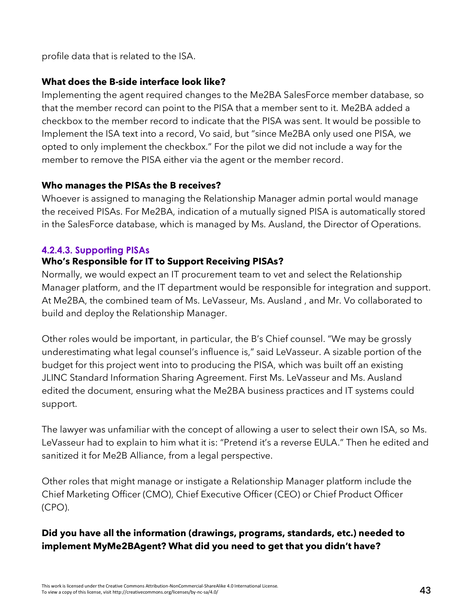profile data that is related to the ISA.

### **What does the B-side interface look like?**

Implementing the agent required changes to the Me2BA SalesForce member database, so that the member record can point to the PISA that a member sent to it. Me2BA added a checkbox to the member record to indicate that the PISA was sent. It would be possible to Implement the ISA text into a record, Vo said, but "since Me2BA only used one PISA, we opted to only implement the checkbox." For the pilot we did not include a way for the member to remove the PISA either via the agent or the member record.

### **Who manages the PISAs the B receives?**

Whoever is assigned to managing the Relationship Manager admin portal would manage the received PISAs. For Me2BA, indication of a mutually signed PISA is automatically stored in the SalesForce database, which is managed by Ms. Ausland, the Director of Operations.

## **4.2.4.3. Supporting PISAs**

## **Who's Responsible for IT to Support Receiving PISAs?**

Normally, we would expect an IT procurement team to vet and select the Relationship Manager platform, and the IT department would be responsible for integration and support. At Me2BA, the combined team of Ms. LeVasseur, Ms. Ausland , and Mr. Vo collaborated to build and deploy the Relationship Manager.

Other roles would be important, in particular, the B's Chief counsel. "We may be grossly underestimating what legal counsel's influence is," said LeVasseur. A sizable portion of the budget for this project went into to producing the PISA, which was built off an existing JLINC Standard Information Sharing Agreement. First Ms. LeVasseur and Ms. Ausland edited the document, ensuring what the Me2BA business practices and IT systems could support.

The lawyer was unfamiliar with the concept of allowing a user to select their own ISA, so Ms. LeVasseur had to explain to him what it is: "Pretend it's a reverse EULA." Then he edited and sanitized it for Me2B Alliance, from a legal perspective.

Other roles that might manage or instigate a Relationship Manager platform include the Chief Marketing Officer (CMO), Chief Executive Officer (CEO) or Chief Product Officer (CPO).

## **Did you have all the information (drawings, programs, standards, etc.) needed to implement MyMe2BAgent? What did you need to get that you didn't have?**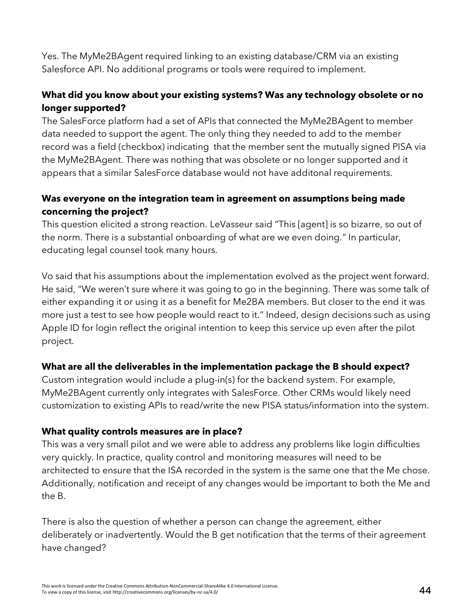Yes. The MyMe2BAgent required linking to an existing database/CRM via an existing Salesforce API. No additional programs or tools were required to implement.

## **What did you know about your existing systems? Was any technology obsolete or no longer supported?**

The SalesForce platform had a set of APIs that connected the MyMe2BAgent to member data needed to support the agent. The only thing they needed to add to the member record was a field (checkbox) indicating that the member sent the mutually signed PISA via the MyMe2BAgent. There was nothing that was obsolete or no longer supported and it appears that a similar SalesForce database would not have additonal requirements.

### **Was everyone on the integration team in agreement on assumptions being made concerning the project?**

This question elicited a strong reaction. LeVasseur said "This [agent] is so bizarre, so out of the norm. There is a substantial onboarding of what are we even doing." In particular, educating legal counsel took many hours.

Vo said that his assumptions about the implementation evolved as the project went forward. He said, "We weren't sure where it was going to go in the beginning. There was some talk of either expanding it or using it as a benefit for Me2BA members. But closer to the end it was more just a test to see how people would react to it." Indeed, design decisions such as using Apple ID for login reflect the original intention to keep this service up even after the pilot project.

## **What are all the deliverables in the implementation package the B should expect?**

Custom integration would include a plug-in(s) for the backend system. For example, MyMe2BAgent currently only integrates with SalesForce. Other CRMs would likely need customization to existing APIs to read/write the new PISA status/information into the system.

### **What quality controls measures are in place?**

This was a very small pilot and we were able to address any problems like login difficulties very quickly. In practice, quality control and monitoring measures will need to be architected to ensure that the ISA recorded in the system is the same one that the Me chose. Additionally, notification and receipt of any changes would be important to both the Me and the B.

There is also the question of whether a person can change the agreement, either deliberately or inadvertently. Would the B get notification that the terms of their agreement have changed?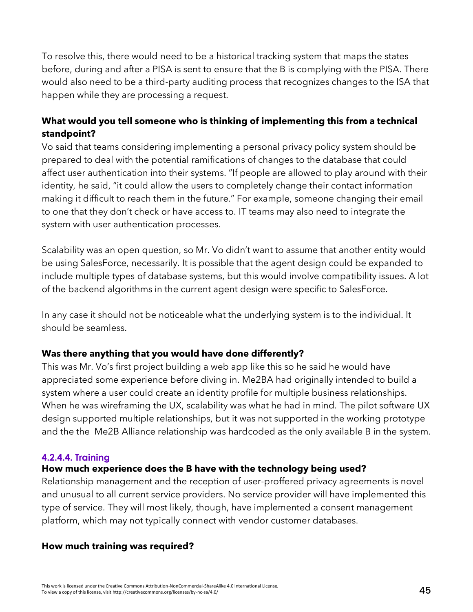To resolve this, there would need to be a historical tracking system that maps the states before, during and after a PISA is sent to ensure that the B is complying with the PISA. There would also need to be a third-party auditing process that recognizes changes to the ISA that happen while they are processing a request.

#### **What would you tell someone who is thinking of implementing this from a technical standpoint?**

Vo said that teams considering implementing a personal privacy policy system should be prepared to deal with the potential ramifications of changes to the database that could affect user authentication into their systems. "If people are allowed to play around with their identity, he said, "it could allow the users to completely change their contact information making it difficult to reach them in the future." For example, someone changing their email to one that they don't check or have access to. IT teams may also need to integrate the system with user authentication processes.

Scalability was an open question, so Mr. Vo didn't want to assume that another entity would be using SalesForce, necessarily. It is possible that the agent design could be expanded to include multiple types of database systems, but this would involve compatibility issues. A lot of the backend algorithms in the current agent design were specific to SalesForce.

In any case it should not be noticeable what the underlying system is to the individual. It should be seamless.

#### **Was there anything that you would have done differently?**

This was Mr. Vo's first project building a web app like this so he said he would have appreciated some experience before diving in. Me2BA had originally intended to build a system where a user could create an identity profile for multiple business relationships. When he was wireframing the UX, scalability was what he had in mind. The pilot software UX design supported multiple relationships, but it was not supported in the working prototype and the the Me2B Alliance relationship was hardcoded as the only available B in the system.

#### **4.2.4.4. Training**

### **How much experience does the B have with the technology being used?**

Relationship management and the reception of user-proffered privacy agreements is novel and unusual to all current service providers. No service provider will have implemented this type of service. They will most likely, though, have implemented a consent management platform, which may not typically connect with vendor customer databases.

#### **How much training was required?**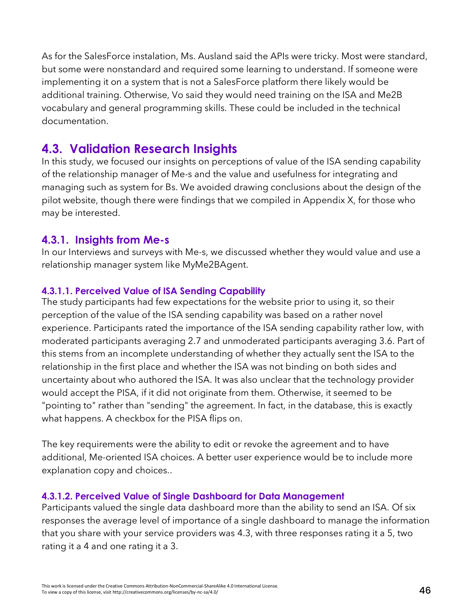As for the SalesForce instalation, Ms. Ausland said the APIs were tricky. Most were standard, but some were nonstandard and required some learning to understand. If someone were implementing it on a system that is not a SalesForce platform there likely would be additional training. Otherwise, Vo said they would need training on the ISA and Me2B vocabulary and general programming skills. These could be included in the technical documentation.

## <span id="page-45-0"></span>**4.3. Validation Research Insights**

In this study, we focused our insights on perceptions of value of the ISA sending capability of the relationship manager of Me-s and the value and usefulness for integrating and managing such as system for Bs. We avoided drawing conclusions about the design of the pilot website, though there were findings that we compiled in Appendix X, for those who may be interested.

## <span id="page-45-1"></span>**4.3.1. Insights from Me-s**

In our Interviews and surveys with Me-s, we discussed whether they would value and use a relationship manager system like MyMe2BAgent.

### **4.3.1.1. Perceived Value of ISA Sending Capability**

The study participants had few expectations for the website prior to using it, so their perception of the value of the ISA sending capability was based on a rather novel experience. Participants rated the importance of the ISA sending capability rather low, with moderated participants averaging 2.7 and unmoderated participants averaging 3.6. Part of this stems from an incomplete understanding of whether they actually sent the ISA to the relationship in the first place and whether the ISA was not binding on both sides and uncertainty about who authored the ISA. It was also unclear that the technology provider would accept the PISA, if it did not originate from them. Otherwise, it seemed to be "pointing to" rather than "sending" the agreement. In fact, in the database, this is exactly what happens. A checkbox for the PISA flips on.

The key requirements were the ability to edit or revoke the agreement and to have additional, Me-oriented ISA choices. A better user experience would be to include more explanation copy and choices..

### **4.3.1.2. Perceived Value of Single Dashboard for Data Management**

Participants valued the single data dashboard more than the ability to send an ISA. Of six responses the average level of importance of a single dashboard to manage the information that you share with your service providers was 4.3, with three responses rating it a 5, two rating it a 4 and one rating it a 3.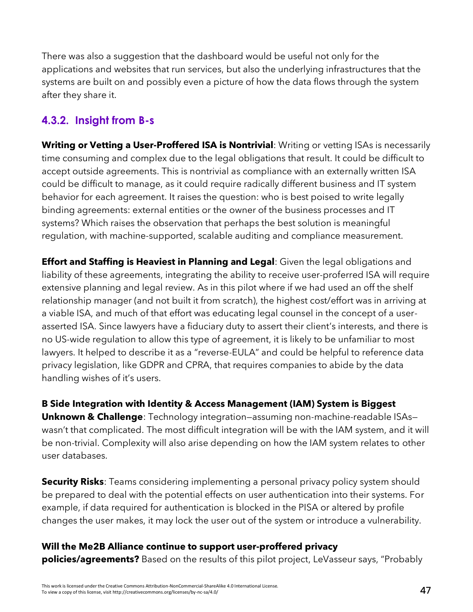There was also a suggestion that the dashboard would be useful not only for the applications and websites that run services, but also the underlying infrastructures that the systems are built on and possibly even a picture of how the data flows through the system after they share it.

## <span id="page-46-0"></span>**4.3.2. Insight from B-s**

**Writing or Vetting a User-Proffered ISA is Nontrivial:** Writing or vetting ISAs is necessarily time consuming and complex due to the legal obligations that result. It could be difficult to accept outside agreements. This is nontrivial as compliance with an externally written ISA could be difficult to manage, as it could require radically different business and IT system behavior for each agreement. It raises the question: who is best poised to write legally binding agreements: external entities or the owner of the business processes and IT systems? Which raises the observation that perhaps the best solution is meaningful regulation, with machine-supported, scalable auditing and compliance measurement.

**Effort and Staffing is Heaviest in Planning and Legal**: Given the legal obligations and liability of these agreements, integrating the ability to receive user-proferred ISA will require extensive planning and legal review. As in this pilot where if we had used an off the shelf relationship manager (and not built it from scratch), the highest cost/effort was in arriving at a viable ISA, and much of that effort was educating legal counsel in the concept of a userasserted ISA. Since lawyers have a fiduciary duty to assert their client's interests, and there is no US-wide regulation to allow this type of agreement, it is likely to be unfamiliar to most lawyers. It helped to describe it as a "reverse-EULA" and could be helpful to reference data privacy legislation, like GDPR and CPRA, that requires companies to abide by the data handling wishes of it's users.

### **B Side Integration with Identity & Access Management (IAM) System is Biggest**

**Unknown & Challenge**: Technology integration—assuming non-machine-readable ISAs wasn't that complicated. The most difficult integration will be with the IAM system, and it will be non-trivial. Complexity will also arise depending on how the IAM system relates to other user databases.

**Security Risks**: Teams considering implementing a personal privacy policy system should be prepared to deal with the potential effects on user authentication into their systems. For example, if data required for authentication is blocked in the PISA or altered by profile changes the user makes, it may lock the user out of the system or introduce a vulnerability.

### **Will the Me2B Alliance continue to support user-proffered privacy**

**policies/agreements?** Based on the results of this pilot project, LeVasseur says, "Probably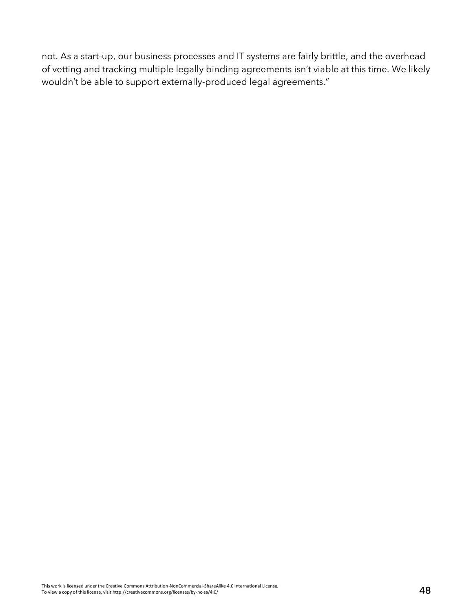not. As a start-up, our business processes and IT systems are fairly brittle, and the overhead of vetting and tracking multiple legally binding agreements isn't viable at this time. We likely wouldn't be able to support externally-produced legal agreements."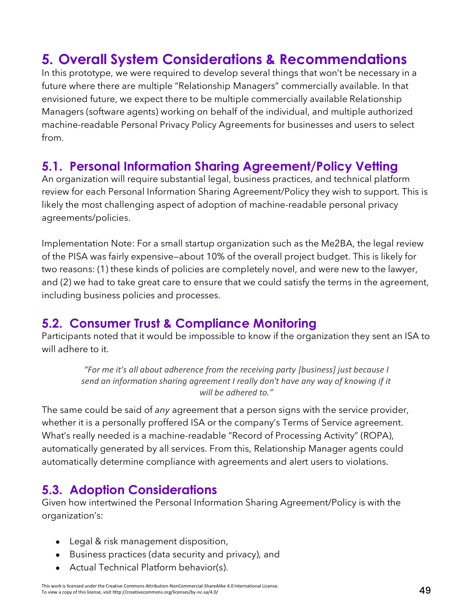# <span id="page-48-0"></span>**5. Overall System Considerations & Recommendations**

In this prototype, we were required to develop several things that won't be necessary in a future where there are multiple "Relationship Managers" commercially available. In that envisioned future, we expect there to be multiple commercially available Relationship Managers (software agents) working on behalf of the individual, and multiple authorized machine-readable Personal Privacy Policy Agreements for businesses and users to select from.

## <span id="page-48-1"></span>**5.1. Personal Information Sharing Agreement/Policy Vetting**

An organization will require substantial legal, business practices, and technical platform review for each Personal Information Sharing Agreement/Policy they wish to support. This is likely the most challenging aspect of adoption of machine-readable personal privacy agreements/policies.

Implementation Note: For a small startup organization such as the Me2BA, the legal review of the PISA was fairly expensive—about 10% of the overall project budget. This is likely for two reasons: (1) these kinds of policies are completely novel, and were new to the lawyer, and (2) we had to take great care to ensure that we could satisfy the terms in the agreement, including business policies and processes.

## <span id="page-48-2"></span>**5.2. Consumer Trust & Compliance Monitoring**

Participants noted that it would be impossible to know if the organization they sent an ISA to will adhere to it.

> *"For me it's all about adherence from the receiving party [business] just because I send an information sharing agreement I really don't have any way of knowing if it will be adhered to."*

The same could be said of *any* agreement that a person signs with the service provider, whether it is a personally proffered ISA or the company's Terms of Service agreement. What's really needed is a machine-readable "Record of Processing Activity" (ROPA), automatically generated by all services. From this, Relationship Manager agents could automatically determine compliance with agreements and alert users to violations.

## <span id="page-48-3"></span>**5.3. Adoption Considerations**

Given how intertwined the Personal Information Sharing Agreement/Policy is with the organization's:

- Legal & risk management disposition,
- Business practices (data security and privacy), and
- Actual Technical Platform behavior(s).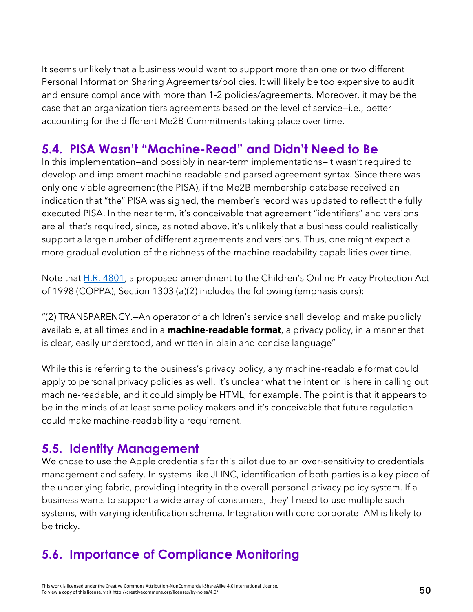It seems unlikely that a business would want to support more than one or two different Personal Information Sharing Agreements/policies. It will likely be too expensive to audit and ensure compliance with more than 1-2 policies/agreements. Moreover, it may be the case that an organization tiers agreements based on the level of service—i.e., better accounting for the different Me2B Commitments taking place over time.

## <span id="page-49-0"></span>**5.4. PISA Wasn't "Machine-Read" and Didn't Need to Be**

In this implementation—and possibly in near-term implementations—it wasn't required to develop and implement machine readable and parsed agreement syntax. Since there was only one viable agreement (the PISA), if the Me2B membership database received an indication that "the" PISA was signed, the member's record was updated to reflect the fully executed PISA. In the near term, it's conceivable that agreement "identifiers" and versions are all that's required, since, as noted above, it's unlikely that a business could realistically support a large number of different agreements and versions. Thus, one might expect a more gradual evolution of the richness of the machine readability capabilities over time.

Note that [H.R. 4801,](https://www.congress.gov/bill/117th-congress/house-bill/4801/all-info?r=41&s=1) a proposed amendment to the Children's Online Privacy Protection Act of 1998 (COPPA), Section 1303 (a)(2) includes the following (emphasis ours):

"(2) TRANSPARENCY.—An operator of a children's service shall develop and make publicly available, at all times and in a **machine-readable format**, a privacy policy, in a manner that is clear, easily understood, and written in plain and concise language"

While this is referring to the business's privacy policy, any machine-readable format could apply to personal privacy policies as well. It's unclear what the intention is here in calling out machine-readable, and it could simply be HTML, for example. The point is that it appears to be in the minds of at least some policy makers and it's conceivable that future regulation could make machine-readability a requirement.

## <span id="page-49-1"></span>**5.5. Identity Management**

We chose to use the Apple credentials for this pilot due to an over-sensitivity to credentials management and safety. In systems like JLINC, identification of both parties is a key piece of the underlying fabric, providing integrity in the overall personal privacy policy system. If a business wants to support a wide array of consumers, they'll need to use multiple such systems, with varying identification schema. Integration with core corporate IAM is likely to be tricky.

## <span id="page-49-2"></span>**5.6. Importance of Compliance Monitoring**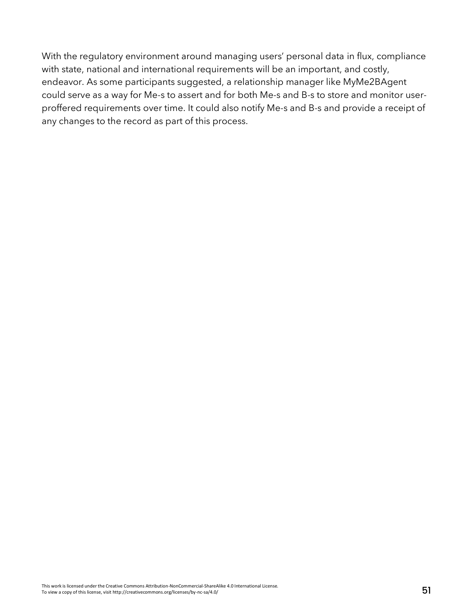With the regulatory environment around managing users' personal data in flux, compliance with state, national and international requirements will be an important, and costly, endeavor. As some participants suggested, a relationship manager like MyMe2BAgent could serve as a way for Me-s to assert and for both Me-s and B-s to store and monitor userproffered requirements over time. It could also notify Me-s and B-s and provide a receipt of any changes to the record as part of this process.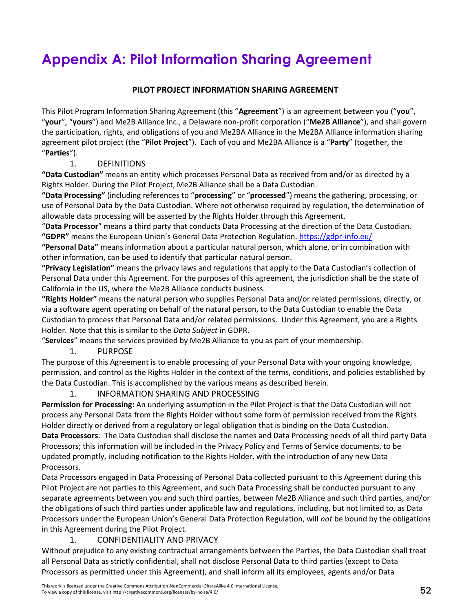# <span id="page-51-0"></span>**Appendix A: Pilot Information Sharing Agreement**

#### **PILOT PROJECT INFORMATION SHARING AGREEMENT**

This Pilot Program Information Sharing Agreement (this "**Agreement**") is an agreement between you ("**you**", "**your**", "**yours**") and Me2B Alliance Inc., a Delaware non-profit corporation ("**Me2B Alliance**"), and shall govern the participation, rights, and obligations of you and Me2BA Alliance in the Me2BA Alliance information sharing agreement pilot project (the "**Pilot Project**"). Each of you and Me2BA Alliance is a "**Party**" (together, the "**Parties**").

#### 1. DEFINITIONS

**"Data Custodian"** means an entity which processes Personal Data as received from and/or as directed by a Rights Holder. During the Pilot Project, Me2B Alliance shall be a Data Custodian.

**"Data Processing"** (including references to "**processing**" or "**processed**") means the gathering, processing, or use of Personal Data by the Data Custodian. Where not otherwise required by regulation, the determination of allowable data processing will be asserted by the Rights Holder through this Agreement.

"**Data Processor**" means a third party that conducts Data Processing at the direction of the Data Custodian. **"GDPR"** means the European Union's General Data Protection Regulation. <https://gdpr-info.eu/>

**"Personal Data"** means information about a particular natural person, which alone, or in combination with other information, can be used to identify that particular natural person.

**"Privacy Legislation"** means the privacy laws and regulations that apply to the Data Custodian's collection of Personal Data under this Agreement. For the purposes of this agreement, the jurisdiction shall be the state of California in the US, where the Me2B Alliance conducts business.

**"Rights Holder"** means the natural person who supplies Personal Data and/or related permissions, directly, or via a software agent operating on behalf of the natural person, to the Data Custodian to enable the Data Custodian to process that Personal Data and/or related permissions. Under this Agreement, you are a Rights Holder. Note that this is similar to the *Data Subject* in GDPR.

"**Services**" means the services provided by Me2B Alliance to you as part of your membership.

#### 1. PURPOSE

The purpose of this Agreement is to enable processing of your Personal Data with your ongoing knowledge, permission, and control as the Rights Holder in the context of the terms, conditions, and policies established by the Data Custodian. This is accomplished by the various means as described herein.

#### 1. INFORMATION SHARING AND PROCESSING

**Permission for Processing:** An underlying assumption in the Pilot Project is that the Data Custodian will not process any Personal Data from the Rights Holder without some form of permission received from the Rights Holder directly or derived from a regulatory or legal obligation that is binding on the Data Custodian. **Data Processors**: The Data Custodian shall disclose the names and Data Processing needs of all third party Data Processors; this information will be included in the Privacy Policy and Terms of Service documents, to be updated promptly, including notification to the Rights Holder, with the introduction of any new Data Processors.

Data Processors engaged in Data Processing of Personal Data collected pursuant to this Agreement during this Pilot Project are not parties to this Agreement, and such Data Processing shall be conducted pursuant to any separate agreements between you and such third parties, between Me2B Alliance and such third parties, and/or the obligations of such third parties under applicable law and regulations, including, but not limited to, as Data Processors under the European Union's General Data Protection Regulation, will *not* be bound by the obligations in this Agreement during the Pilot Project.

#### 1. CONFIDENTIALITY AND PRIVACY

Without prejudice to any existing contractual arrangements between the Parties, the Data Custodian shall treat all Personal Data as strictly confidential, shall not disclose Personal Data to third parties (except to Data Processors as permitted under this Agreement), and shall inform all its employees, agents and/or Data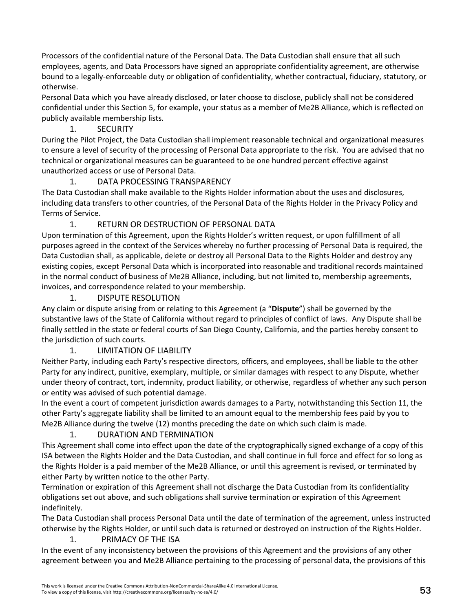Processors of the confidential nature of the Personal Data. The Data Custodian shall ensure that all such employees, agents, and Data Processors have signed an appropriate confidentiality agreement, are otherwise bound to a legally-enforceable duty or obligation of confidentiality, whether contractual, fiduciary, statutory, or otherwise.

Personal Data which you have already disclosed, or later choose to disclose, publicly shall not be considered confidential under this Section 5, for example, your status as a member of Me2B Alliance, which is reflected on publicly available membership lists.

#### 1. SECURITY

During the Pilot Project, the Data Custodian shall implement reasonable technical and organizational measures to ensure a level of security of the processing of Personal Data appropriate to the risk. You are advised that no technical or organizational measures can be guaranteed to be one hundred percent effective against unauthorized access or use of Personal Data.

#### 1. DATA PROCESSING TRANSPARENCY

The Data Custodian shall make available to the Rights Holder information about the uses and disclosures, including data transfers to other countries, of the Personal Data of the Rights Holder in the Privacy Policy and Terms of Service.

#### 1. RETURN OR DESTRUCTION OF PERSONAL DATA

Upon termination of this Agreement, upon the Rights Holder's written request, or upon fulfillment of all purposes agreed in the context of the Services whereby no further processing of Personal Data is required, the Data Custodian shall, as applicable, delete or destroy all Personal Data to the Rights Holder and destroy any existing copies, except Personal Data which is incorporated into reasonable and traditional records maintained in the normal conduct of business of Me2B Alliance, including, but not limited to, membership agreements, invoices, and correspondence related to your membership.

#### 1. DISPUTE RESOLUTION

Any claim or dispute arising from or relating to this Agreement (a "**Dispute**") shall be governed by the substantive laws of the State of California without regard to principles of conflict of laws. Any Dispute shall be finally settled in the state or federal courts of San Diego County, California, and the parties hereby consent to the jurisdiction of such courts.

#### 1. LIMITATION OF LIABILITY

Neither Party, including each Party's respective directors, officers, and employees, shall be liable to the other Party for any indirect, punitive, exemplary, multiple, or similar damages with respect to any Dispute, whether under theory of contract, tort, indemnity, product liability, or otherwise, regardless of whether any such person or entity was advised of such potential damage.

In the event a court of competent jurisdiction awards damages to a Party, notwithstanding this Section 11, the other Party's aggregate liability shall be limited to an amount equal to the membership fees paid by you to Me2B Alliance during the twelve (12) months preceding the date on which such claim is made.

#### 1. DURATION AND TERMINATION

This Agreement shall come into effect upon the date of the cryptographically signed exchange of a copy of this ISA between the Rights Holder and the Data Custodian, and shall continue in full force and effect for so long as the Rights Holder is a paid member of the Me2B Alliance, or until this agreement is revised, or terminated by either Party by written notice to the other Party.

Termination or expiration of this Agreement shall not discharge the Data Custodian from its confidentiality obligations set out above, and such obligations shall survive termination or expiration of this Agreement indefinitely.

The Data Custodian shall process Personal Data until the date of termination of the agreement, unless instructed otherwise by the Rights Holder, or until such data is returned or destroyed on instruction of the Rights Holder.

#### 1. PRIMACY OF THE ISA

In the event of any inconsistency between the provisions of this Agreement and the provisions of any other agreement between you and Me2B Alliance pertaining to the processing of personal data, the provisions of this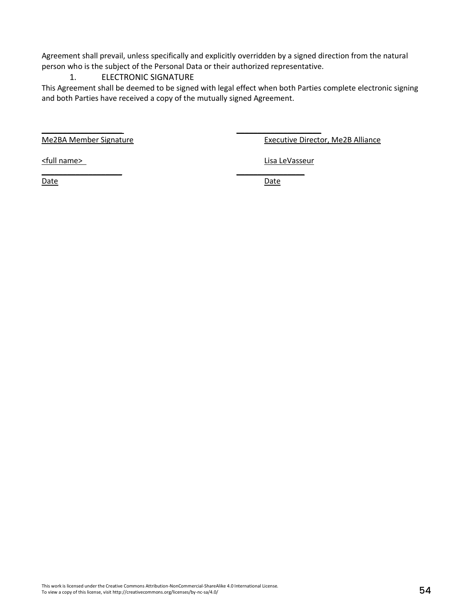Agreement shall prevail, unless specifically and explicitly overridden by a signed direction from the natural person who is the subject of the Personal Data or their authorized representative.

#### 1. ELECTRONIC SIGNATURE

This Agreement shall be deemed to be signed with legal effect when both Parties complete electronic signing and both Parties have received a copy of the mutually signed Agreement.

\_\_\_\_\_\_\_\_\_\_\_\_\_\_\_\_\_\_\_ \_\_\_\_\_\_\_\_\_\_\_\_\_\_\_\_\_\_\_\_

\_\_\_\_\_\_\_\_\_\_\_\_\_\_\_\_\_\_\_ \_\_\_\_\_\_\_\_\_\_\_\_\_\_\_\_

Me2BA Member Signature **Executive Director, Me2B Alliance** 

<full name> Lisa LeVasseur

Date **Date Date Date Date Date Date Date**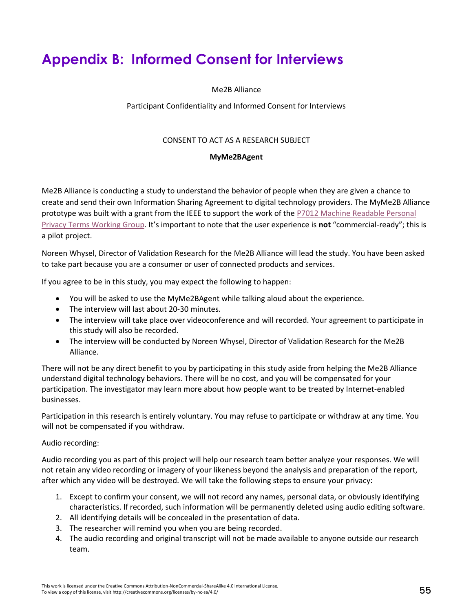# <span id="page-54-0"></span>**Appendix B: Informed Consent for Interviews**

Me2B Alliance

Participant Confidentiality and Informed Consent for Interviews

#### CONSENT TO ACT AS A RESEARCH SUBJECT

#### **MyMe2BAgent**

Me2B Alliance is conducting a study to understand the behavior of people when they are given a chance to create and send their own Information Sharing Agreement to digital technology providers. The MyMe2B Alliance prototype was built with a grant from the IEEE to support the work of the P7012 Machine Readable Personal Privacy Terms Working Group. It's important to note that the user experience is **not** "commercial-ready"; this is a pilot project.

Noreen Whysel, Director of Validation Research for the Me2B Alliance will lead the study. You have been asked to take part because you are a consumer or user of connected products and services.

If you agree to be in this study, you may expect the following to happen:

- You will be asked to use the MyMe2BAgent while talking aloud about the experience.
- The interview will last about 20-30 minutes.
- The interview will take place over videoconference and will recorded. Your agreement to participate in this study will also be recorded.
- The interview will be conducted by Noreen Whysel, Director of Validation Research for the Me2B Alliance.

There will not be any direct benefit to you by participating in this study aside from helping the Me2B Alliance understand digital technology behaviors. There will be no cost, and you will be compensated for your participation. The investigator may learn more about how people want to be treated by Internet-enabled businesses.

Participation in this research is entirely voluntary. You may refuse to participate or withdraw at any time. You will not be compensated if you withdraw.

#### Audio recording:

Audio recording you as part of this project will help our research team better analyze your responses. We will not retain any video recording or imagery of your likeness beyond the analysis and preparation of the report, after which any video will be destroyed. We will take the following steps to ensure your privacy:

- 1. Except to confirm your consent, we will not record any names, personal data, or obviously identifying characteristics. If recorded, such information will be permanently deleted using audio editing software.
- 2. All identifying details will be concealed in the presentation of data.
- 3. The researcher will remind you when you are being recorded.
- 4. The audio recording and original transcript will not be made available to anyone outside our research team.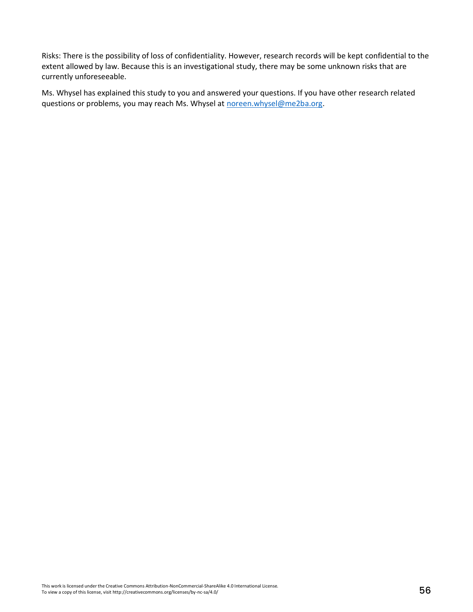Risks: There is the possibility of loss of confidentiality. However, research records will be kept confidential to the extent allowed by law. Because this is an investigational study, there may be some unknown risks that are currently unforeseeable.

Ms. Whysel has explained this study to you and answered your questions. If you have other research related questions or problems, you may reach Ms. Whysel at [noreen.whysel@me2ba.org.](mailto:noreen.whysel@me2ba.org)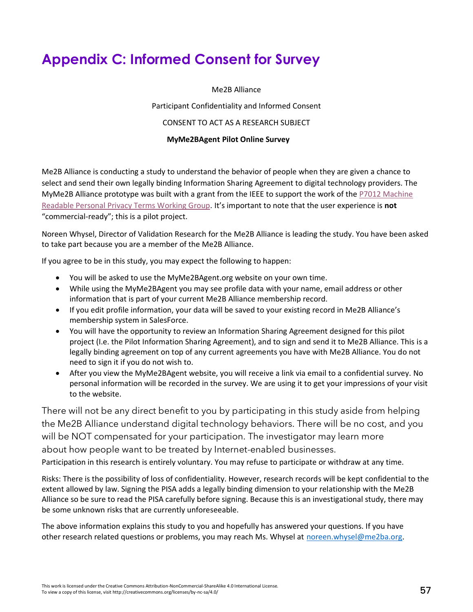# <span id="page-56-0"></span>**Appendix C: Informed Consent for Survey**

Me2B Alliance

Participant Confidentiality and Informed Consent

#### CONSENT TO ACT AS A RESEARCH SUBJECT

#### **MyMe2BAgent Pilot Online Survey**

Me2B Alliance is conducting a study to understand the behavior of people when they are given a chance to select and send their own legally binding Information Sharing Agreement to digital technology providers. The MyMe2B Alliance prototype was built with a grant from the IEEE to support the work of the P7012 Machine Readable Personal Privacy Terms Working Group. It's important to note that the user experience is **not**  "commercial-ready"; this is a pilot project.

Noreen Whysel, Director of Validation Research for the Me2B Alliance is leading the study. You have been asked to take part because you are a member of the Me2B Alliance.

If you agree to be in this study, you may expect the following to happen:

- You will be asked to use the MyMe2BAgent.org website on your own time.
- While using the MyMe2BAgent you may see profile data with your name, email address or other information that is part of your current Me2B Alliance membership record.
- If you edit profile information, your data will be saved to your existing record in Me2B Alliance's membership system in SalesForce.
- You will have the opportunity to review an Information Sharing Agreement designed for this pilot project (I.e. the Pilot Information Sharing Agreement), and to sign and send it to Me2B Alliance. This is a legally binding agreement on top of any current agreements you have with Me2B Alliance. You do not need to sign it if you do not wish to.
- After you view the MyMe2BAgent website, you will receive a link via email to a confidential survey. No personal information will be recorded in the survey. We are using it to get your impressions of your visit to the website.

There will not be any direct benefit to you by participating in this study aside from helping the Me2B Alliance understand digital technology behaviors. There will be no cost, and you will be NOT compensated for your participation. The investigator may learn more about how people want to be treated by Internet-enabled businesses.

Participation in this research is entirely voluntary. You may refuse to participate or withdraw at any time.

Risks: There is the possibility of loss of confidentiality. However, research records will be kept confidential to the extent allowed by law. Signing the PISA adds a legally binding dimension to your relationship with the Me2B Alliance so be sure to read the PISA carefully before signing. Because this is an investigational study, there may be some unknown risks that are currently unforeseeable.

The above information explains this study to you and hopefully has answered your questions. If you have other research related questions or problems, you may reach Ms. Whysel at [noreen.whysel@me2ba.org](mailto:noreen.whysel@me2ba.org).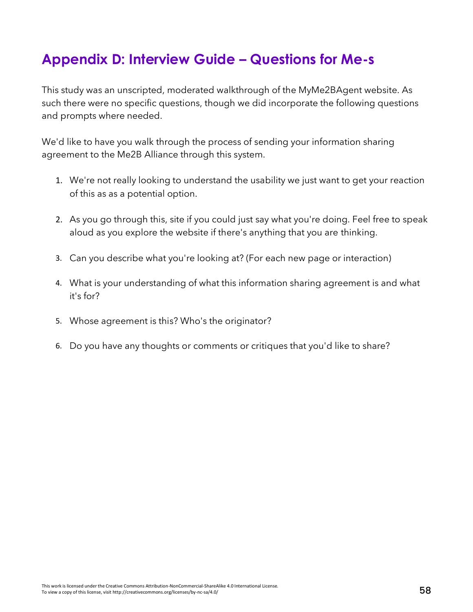# <span id="page-57-0"></span>**Appendix D: Interview Guide – Questions for Me-s**

This study was an unscripted, moderated walkthrough of the MyMe2BAgent website. As such there were no specific questions, though we did incorporate the following questions and prompts where needed.

We'd like to have you walk through the process of sending your information sharing agreement to the Me2B Alliance through this system.

- 1. We're not really looking to understand the usability we just want to get your reaction of this as as a potential option.
- 2. As you go through this, site if you could just say what you're doing. Feel free to speak aloud as you explore the website if there's anything that you are thinking.
- 3. Can you describe what you're looking at? (For each new page or interaction)
- 4. What is your understanding of what this information sharing agreement is and what it's for?
- 5. Whose agreement is this? Who's the originator?
- 6. Do you have any thoughts or comments or critiques that you'd like to share?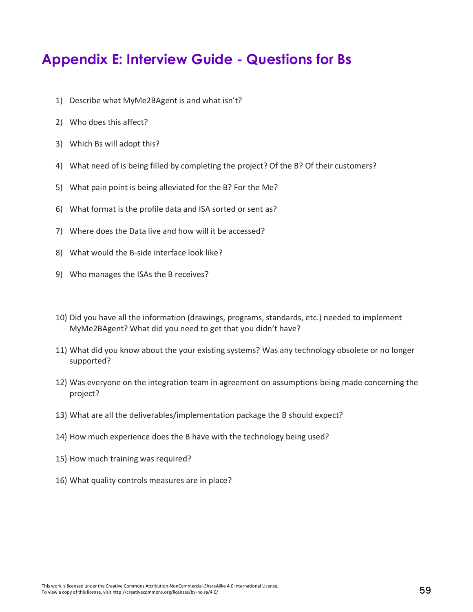# <span id="page-58-0"></span>**Appendix E: Interview Guide - Questions for Bs**

- 1) Describe what MyMe2BAgent is and what isn't?
- 2) Who does this affect?
- 3) Which Bs will adopt this?
- 4) What need of is being filled by completing the project? Of the B? Of their customers?
- 5) What pain point is being alleviated for the B? For the Me?
- 6) What format is the profile data and ISA sorted or sent as?
- 7) Where does the Data live and how will it be accessed?
- 8) What would the B-side interface look like?
- 9) Who manages the ISAs the B receives?
- 10) Did you have all the information (drawings, programs, standards, etc.) needed to implement MyMe2BAgent? What did you need to get that you didn't have?
- 11) What did you know about the your existing systems? Was any technology obsolete or no longer supported?
- 12) Was everyone on the integration team in agreement on assumptions being made concerning the project?
- 13) What are all the deliverables/implementation package the B should expect?
- 14) How much experience does the B have with the technology being used?
- 15) How much training was required?
- 16) What quality controls measures are in place?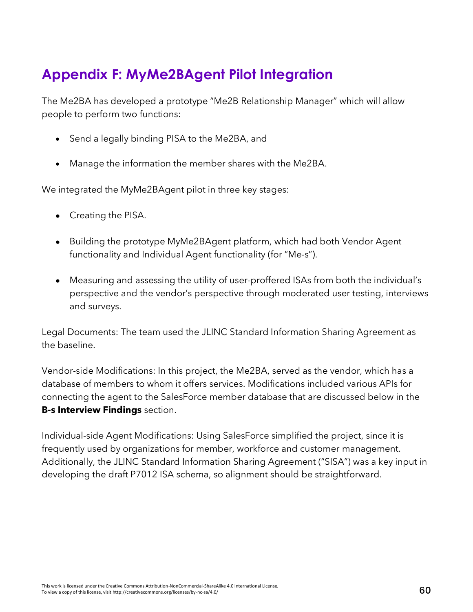# <span id="page-59-0"></span>**Appendix F: MyMe2BAgent Pilot Integration**

The Me2BA has developed a prototype "Me2B Relationship Manager" which will allow people to perform two functions:

- Send a legally binding PISA to the Me2BA, and
- Manage the information the member shares with the Me2BA.

We integrated the MyMe2BAgent pilot in three key stages:

- Creating the PISA.
- Building the prototype MyMe2BAgent platform, which had both Vendor Agent functionality and Individual Agent functionality (for "Me-s").
- Measuring and assessing the utility of user-proffered ISAs from both the individual's perspective and the vendor's perspective through moderated user testing, interviews and surveys.

Legal Documents: The team used the JLINC Standard Information Sharing Agreement as the baseline.

Vendor-side Modifications: In this project, the Me2BA, served as the vendor, which has a database of members to whom it offers services. Modifications included various APIs for connecting the agent to the SalesForce member database that are discussed below in the **B-s Interview Findings** section.

Individual-side Agent Modifications: Using SalesForce simplified the project, since it is frequently used by organizations for member, workforce and customer management. Additionally, the JLINC Standard Information Sharing Agreement ("SISA") was a key input in developing the draft P7012 ISA schema, so alignment should be straightforward.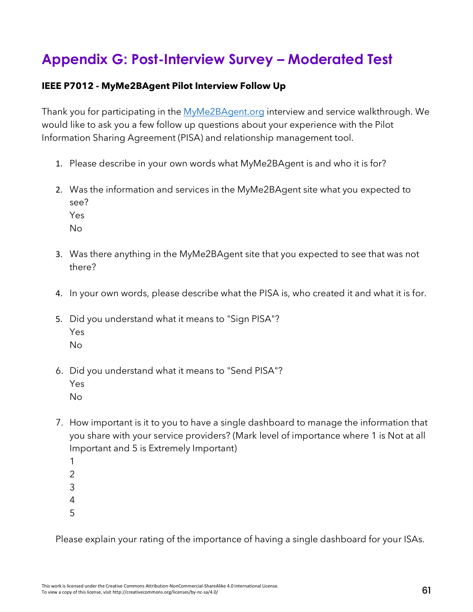# <span id="page-60-0"></span>**Appendix G: Post-Interview Survey – Moderated Test**

#### **IEEE P7012 - MyMe2BAgent Pilot Interview Follow Up**

Thank you for participating in the [MyMe2BAgent.org](http://myme2bagent.org/) interview and service walkthrough. We would like to ask you a few follow up questions about your experience with the Pilot Information Sharing Agreement (PISA) and relationship management tool.

- 1. Please describe in your own words what MyMe2BAgent is and who it is for?
- 2. Was the information and services in the MyMe2BAgent site what you expected to see?

Yes

No

- 3. Was there anything in the MyMe2BAgent site that you expected to see that was not there?
- 4. In your own words, please describe what the PISA is, who created it and what it is for.
- 5. Did you understand what it means to "Sign PISA"? Yes No
- 6. Did you understand what it means to "Send PISA"? Yes

No

7. How important is it to you to have a single dashboard to manage the information that you share with your service providers? (Mark level of importance where 1 is Not at all Important and 5 is Extremely Important)

1

2

3

- 4
- 5

Please explain your rating of the importance of having a single dashboard for your ISAs.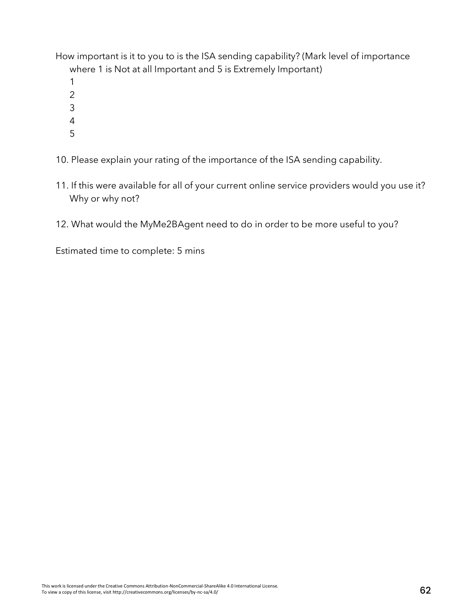How important is it to you to is the ISA sending capability? (Mark level of importance where 1 is Not at all Important and 5 is Extremely Important)

- 1
- 2
- 3
- 4
- 5

10. Please explain your rating of the importance of the ISA sending capability.

- 11. If this were available for all of your current online service providers would you use it? Why or why not?
- 12. What would the MyMe2BAgent need to do in order to be more useful to you?

Estimated time to complete: 5 mins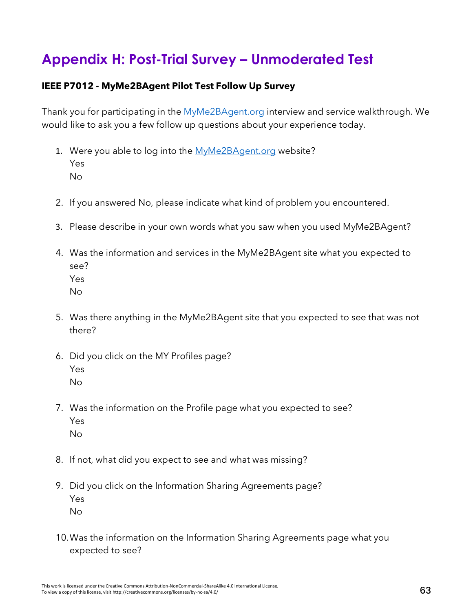# <span id="page-62-0"></span>**Appendix H: Post-Trial Survey – Unmoderated Test**

## **IEEE P7012 - MyMe2BAgent Pilot Test Follow Up Survey**

Thank you for participating in the [MyMe2BAgent.org](http://myme2bagent.org/) interview and service walkthrough. We would like to ask you a few follow up questions about your experience today.

- 1. Were you able to log into the [MyMe2BAgent.org](http://myme2bagent.org/) website? Yes No
- 2. If you answered No, please indicate what kind of problem you encountered.
- 3. Please describe in your own words what you saw when you used MyMe2BAgent?
- 4. Was the information and services in the MyMe2BAgent site what you expected to see?
	- Yes
	- No
- 5. Was there anything in the MyMe2BAgent site that you expected to see that was not there?
- 6. Did you click on the MY Profiles page? Yes No
- 7. Was the information on the Profile page what you expected to see? Yes No
- 8. If not, what did you expect to see and what was missing?
- 9. Did you click on the Information Sharing Agreements page? Yes  $No$
- 10.Was the information on the Information Sharing Agreements page what you expected to see?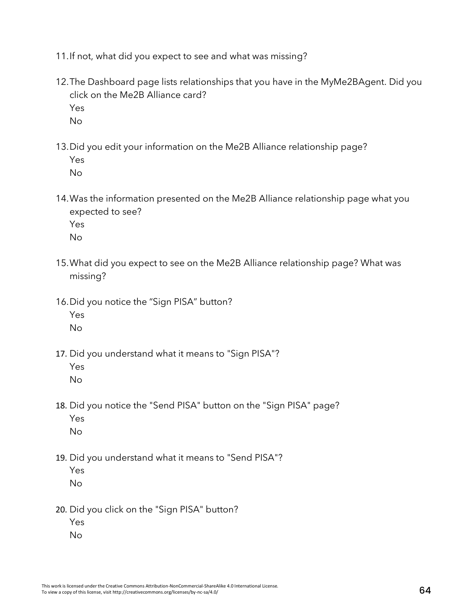- 11.If not, what did you expect to see and what was missing?
- 12.The Dashboard page lists relationships that you have in the MyMe2BAgent. Did you click on the Me2B Alliance card?

Yes

No

13.Did you edit your information on the Me2B Alliance relationship page?

Yes

- $No$
- 14.Was the information presented on the Me2B Alliance relationship page what you expected to see?

Yes

No

- 15.What did you expect to see on the Me2B Alliance relationship page? What was missing?
- 16.Did you notice the "Sign PISA" button?

Yes

No

- 17. Did you understand what it means to "Sign PISA"?
	- Yes
	- No
- 18. Did you notice the "Send PISA" button on the "Sign PISA" page?
	- Yes
	- No
- 19. Did you understand what it means to "Send PISA"?
	- Yes

No

20. Did you click on the "Sign PISA" button?

Yes

No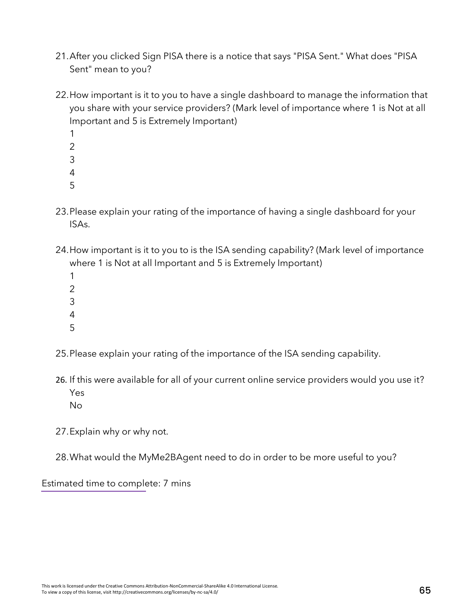- 21.After you clicked Sign PISA there is a notice that says "PISA Sent." What does "PISA Sent" mean to you?
- 22.How important is it to you to have a single dashboard to manage the information that you share with your service providers? (Mark level of importance where 1 is Not at all Important and 5 is Extremely Important)
	- 1
	- 2
	- 3
	- 4
	- 5
- 23.Please explain your rating of the importance of having a single dashboard for your ISAs.
- 24.How important is it to you to is the ISA sending capability? (Mark level of importance where 1 is Not at all Important and 5 is Extremely Important)
	- 1
	- 2
	- 3
	- 4
	- 5
- 25.Please explain your rating of the importance of the ISA sending capability.
- 26. If this were available for all of your current online service providers would you use it? Yes No
- 27.Explain why or why not.
- 28.What would the MyMe2BAgent need to do in order to be more useful to you?

Estimated time to complete: 7 mins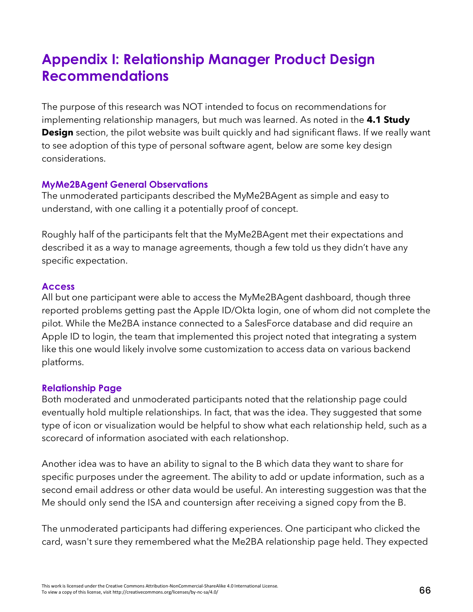# <span id="page-65-0"></span>**Appendix I: Relationship Manager Product Design Recommendations**

The purpose of this research was NOT intended to focus on recommendations for implementing relationship managers, but much was learned. As noted in the **4.1 Study Design** section, the pilot website was built quickly and had significant flaws. If we really want to see adoption of this type of personal software agent, below are some key design considerations.

#### **MyMe2BAgent General Observations**

The unmoderated participants described the MyMe2BAgent as simple and easy to understand, with one calling it a potentially proof of concept.

Roughly half of the participants felt that the MyMe2BAgent met their expectations and described it as a way to manage agreements, though a few told us they didn't have any specific expectation.

#### **Access**

All but one participant were able to access the MyMe2BAgent dashboard, though three reported problems getting past the Apple ID/Okta login, one of whom did not complete the pilot. While the Me2BA instance connected to a SalesForce database and did require an Apple ID to login, the team that implemented this project noted that integrating a system like this one would likely involve some customization to access data on various backend platforms.

#### **Relationship Page**

Both moderated and unmoderated participants noted that the relationship page could eventually hold multiple relationships. In fact, that was the idea. They suggested that some type of icon or visualization would be helpful to show what each relationship held, such as a scorecard of information asociated with each relationshop.

Another idea was to have an ability to signal to the B which data they want to share for specific purposes under the agreement. The ability to add or update information, such as a second email address or other data would be useful. An interesting suggestion was that the Me should only send the ISA and countersign after receiving a signed copy from the B.

The unmoderated participants had differing experiences. One participant who clicked the card, wasn't sure they remembered what the Me2BA relationship page held. They expected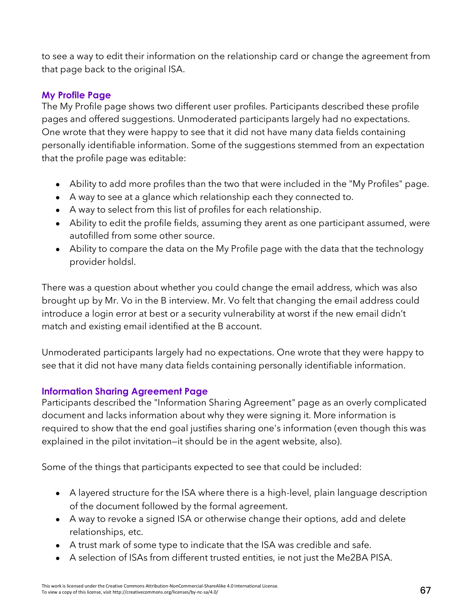to see a way to edit their information on the relationship card or change the agreement from that page back to the original ISA.

#### **My Profile Page**

The My Profile page shows two different user profiles. Participants described these profile pages and offered suggestions. Unmoderated participants largely had no expectations. One wrote that they were happy to see that it did not have many data fields containing personally identifiable information. Some of the suggestions stemmed from an expectation that the profile page was editable:

- Ability to add more profiles than the two that were included in the "My Profiles" page.
- A way to see at a glance which relationship each they connected to.
- A way to select from this list of profiles for each relationship.
- Ability to edit the profile fields, assuming they arent as one participant assumed, were autofilled from some other source.
- Ability to compare the data on the My Profile page with the data that the technology provider holdsl.

There was a question about whether you could change the email address, which was also brought up by Mr. Vo in the B interview. Mr. Vo felt that changing the email address could introduce a login error at best or a security vulnerability at worst if the new email didn't match and existing email identified at the B account.

Unmoderated participants largely had no expectations. One wrote that they were happy to see that it did not have many data fields containing personally identifiable information.

#### **Information Sharing Agreement Page**

Participants described the "Information Sharing Agreement" page as an overly complicated document and lacks information about why they were signing it. More information is required to show that the end goal justifies sharing one's information (even though this was explained in the pilot invitation—it should be in the agent website, also).

Some of the things that participants expected to see that could be included:

- A layered structure for the ISA where there is a high-level, plain language description of the document followed by the formal agreement.
- A way to revoke a signed ISA or otherwise change their options, add and delete relationships, etc.
- A trust mark of some type to indicate that the ISA was credible and safe.
- A selection of ISAs from different trusted entities, ie not just the Me2BA PISA.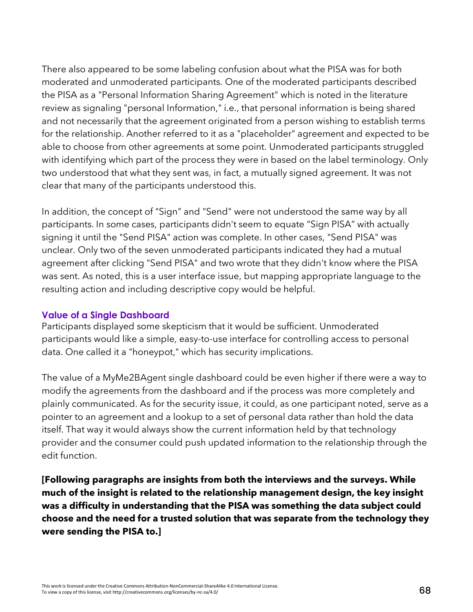There also appeared to be some labeling confusion about what the PISA was for both moderated and unmoderated participants. One of the moderated participants described the PISA as a "Personal Information Sharing Agreement" which is noted in the literature review as signaling "personal Information," i.e., that personal information is being shared and not necessarily that the agreement originated from a person wishing to establish terms for the relationship. Another referred to it as a "placeholder" agreement and expected to be able to choose from other agreements at some point. Unmoderated participants struggled with identifying which part of the process they were in based on the label terminology. Only two understood that what they sent was, in fact, a mutually signed agreement. It was not clear that many of the participants understood this.

In addition, the concept of "Sign" and "Send" were not understood the same way by all participants. In some cases, participants didn't seem to equate "Sign PISA" with actually signing it until the "Send PISA" action was complete. In other cases, "Send PISA" was unclear. Only two of the seven unmoderated participants indicated they had a mutual agreement after clicking "Send PISA" and two wrote that they didn't know where the PISA was sent. As noted, this is a user interface issue, but mapping appropriate language to the resulting action and including descriptive copy would be helpful.

#### **Value of a Single Dashboard**

Participants displayed some skepticism that it would be sufficient. Unmoderated participants would like a simple, easy-to-use interface for controlling access to personal data. One called it a "honeypot," which has security implications.

The value of a MyMe2BAgent single dashboard could be even higher if there were a way to modify the agreements from the dashboard and if the process was more completely and plainly communicated. As for the security issue, it could, as one participant noted, serve as a pointer to an agreement and a lookup to a set of personal data rather than hold the data itself. That way it would always show the current information held by that technology provider and the consumer could push updated information to the relationship through the edit function.

**[Following paragraphs are insights from both the interviews and the surveys. While much of the insight is related to the relationship management design, the key insight was a difficulty in understanding that the PISA was something the data subject could choose and the need for a trusted solution that was separate from the technology they were sending the PISA to.]**